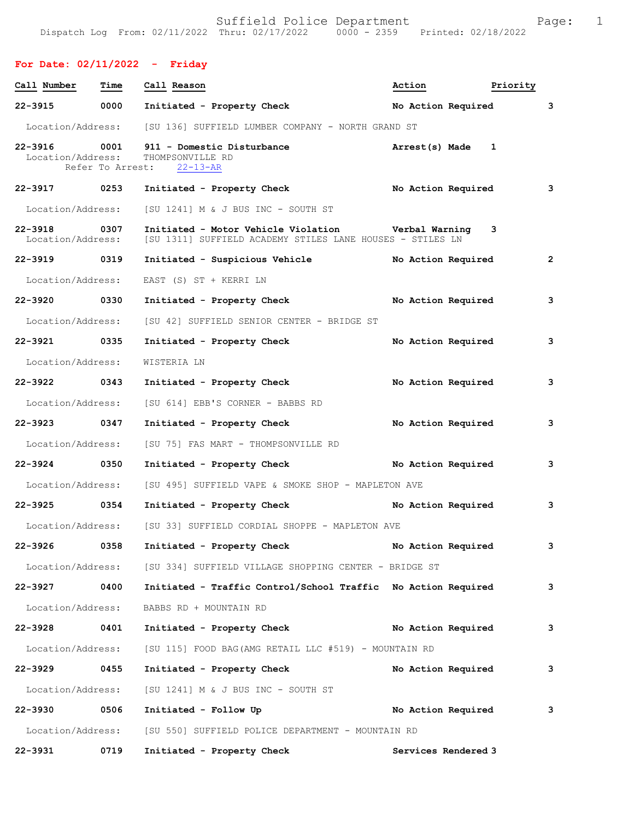## **For Date: 02/11/2022 - Friday**

| Call Number                       | Time | Call Reason                                                                                                       | Action               | Priority |                         |
|-----------------------------------|------|-------------------------------------------------------------------------------------------------------------------|----------------------|----------|-------------------------|
| 22-3915                           | 0000 | Initiated - Property Check                                                                                        | No Action Required 3 |          |                         |
|                                   |      | Location/Address: [SU 136] SUFFIELD LUMBER COMPANY - NORTH GRAND ST                                               |                      |          |                         |
| 22-3916 0001<br>Location/Address: |      | 911 - Domestic Disturbance<br>THOMPSONVILLE RD<br>Refer To Arrest: 22-13-AR                                       | Arrest(s) Made 1     |          |                         |
| 22-3917 0253                      |      | Initiated - Property Check No Action Required 3                                                                   |                      |          |                         |
| Location/Address:                 |      | [SU 1241] M & J BUS INC - SOUTH ST                                                                                |                      |          |                         |
| 22-3918 0307<br>Location/Address: |      | Initiated - Motor Vehicle Violation burbal Warning 3<br>[SU 1311] SUFFIELD ACADEMY STILES LANE HOUSES - STILES LN |                      |          |                         |
| 22-3919 0319                      |      | Initiated - Suspicious Vehicle Mo Action Required                                                                 |                      |          | $\overline{\mathbf{2}}$ |
| Location/Address:                 |      | EAST (S) ST + KERRI LN                                                                                            |                      |          |                         |
| 22-3920 0330                      |      | Initiated - Property Check No Action Required                                                                     |                      |          | 3                       |
| Location/Address:                 |      | [SU 42] SUFFIELD SENIOR CENTER - BRIDGE ST                                                                        |                      |          |                         |
| 22-3921 0335                      |      | Initiated - Property Check                                                                                        | No Action Required   |          | 3                       |
| Location/Address:                 |      | WISTERIA LN                                                                                                       |                      |          |                         |
| 22-3922 0343                      |      | Initiated - Property Check                                                                                        | No Action Required   |          | 3                       |
| Location/Address:                 |      | [SU 614] EBB'S CORNER - BABBS RD                                                                                  |                      |          |                         |
| 22-3923 0347                      |      | Initiated - Property Check                                                                                        | No Action Required   |          | 3                       |
| Location/Address:                 |      | [SU 75] FAS MART - THOMPSONVILLE RD                                                                               |                      |          |                         |
| 22-3924 0350                      |      | Initiated - Property Check No Action Required                                                                     |                      |          | 3                       |
|                                   |      | Location/Address: [SU 495] SUFFIELD VAPE & SMOKE SHOP - MAPLETON AVE                                              |                      |          |                         |
|                                   |      | 22-3925 0354 Initiated - Property Check                                                                           | No Action Required 3 |          |                         |
|                                   |      | Location/Address: [SU 33] SUFFIELD CORDIAL SHOPPE - MAPLETON AVE                                                  |                      |          |                         |
|                                   |      | 22-3926 0358 Initiated - Property Check                                                                           | No Action Required   |          | 3                       |
|                                   |      | Location/Address: [SU 334] SUFFIELD VILLAGE SHOPPING CENTER - BRIDGE ST                                           |                      |          |                         |
| 22-3927 0400                      |      | Initiated - Traffic Control/School Traffic No Action Required                                                     |                      |          | 3                       |
| Location/Address:                 |      | BABBS RD + MOUNTAIN RD                                                                                            |                      |          |                         |
| 22-3928 0401                      |      | Initiated - Property Check No Action Required                                                                     |                      |          | 3                       |
| Location/Address:                 |      | [SU 115] FOOD BAG(AMG RETAIL LLC #519) - MOUNTAIN RD                                                              |                      |          |                         |
| $22 - 3929$                       | 0455 | Initiated - Property Check                                                                                        | No Action Required   |          | 3                       |
|                                   |      | Location/Address: [SU 1241] M & J BUS INC - SOUTH ST                                                              |                      |          |                         |
| 22-3930 0506                      |      | Initiated - Follow Up                                                                                             | No Action Required 3 |          |                         |
|                                   |      | Location/Address: [SU 550] SUFFIELD POLICE DEPARTMENT - MOUNTAIN RD                                               |                      |          |                         |
| 22-3931                           | 0719 | Initiated - Property Check                                                                                        | Services Rendered 3  |          |                         |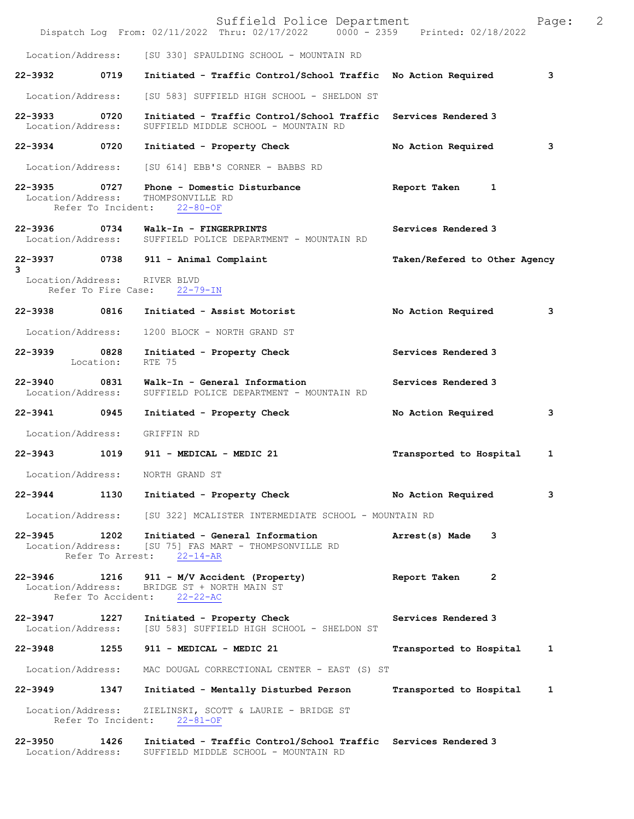|                                   |                            | Suffield Police Department<br>Dispatch Log From: 02/11/2022 Thru: 02/17/2022 0000 - 2359 Printed: 02/18/2022             |                               | Page: | $\overline{2}$ |
|-----------------------------------|----------------------------|--------------------------------------------------------------------------------------------------------------------------|-------------------------------|-------|----------------|
| Location/Address:                 |                            | [SU 330] SPAULDING SCHOOL - MOUNTAIN RD                                                                                  |                               |       |                |
| 22-3932                           | 0719                       | Initiated - Traffic Control/School Traffic No Action Required                                                            |                               | 3     |                |
| Location/Address:                 |                            | [SU 583] SUFFIELD HIGH SCHOOL - SHELDON ST                                                                               |                               |       |                |
| 22-3933<br>Location/Address:      | 0720                       | Initiated - Traffic Control/School Traffic Services Rendered 3<br>SUFFIELD MIDDLE SCHOOL - MOUNTAIN RD                   |                               |       |                |
| 22-3934 0720                      |                            | Initiated - Property Check                                                                                               | No Action Required            | 3     |                |
| Location/Address:                 |                            | [SU 614] EBB'S CORNER - BABBS RD                                                                                         |                               |       |                |
| $22 - 3935$<br>Location/Address:  | 0727<br>Refer To Incident: | Phone - Domestic Disturbance<br>THOMPSONVILLE RD<br>$22 - 80 - OF$                                                       | Report Taken<br>1             |       |                |
| 22-3936<br>Location/Address:      | 0734                       | Walk-In - FINGERPRINTS<br>SUFFIELD POLICE DEPARTMENT - MOUNTAIN RD                                                       | Services Rendered 3           |       |                |
| 3                                 |                            | 22-3937 0738 911 - Animal Complaint                                                                                      | Taken/Refered to Other Agency |       |                |
| Location/Address:                 | Refer To Fire Case:        | RIVER BLVD<br>$22 - 79 - IN$                                                                                             |                               |       |                |
| 22-3938 0816                      |                            | Initiated - Assist Motorist                                                                                              | No Action Required            | з     |                |
| Location/Address:                 |                            | 1200 BLOCK - NORTH GRAND ST                                                                                              |                               |       |                |
| 22-3939 0828                      | Location:                  | Initiated - Property Check<br>RTE 75                                                                                     | Services Rendered 3           |       |                |
| $22 - 3940$<br>Location/Address:  | 0831                       | Walk-In - General Information<br>SUFFIELD POLICE DEPARTMENT - MOUNTAIN RD                                                | Services Rendered 3           |       |                |
| 22-3941                           | 0945                       | Initiated - Property Check                                                                                               | No Action Required            | 3     |                |
| Location/Address:                 |                            | GRIFFIN RD                                                                                                               |                               |       |                |
| 22-3943                           | 1019                       | 911 - MEDICAL - MEDIC 21                                                                                                 | Transported to Hospital       | 1     |                |
| Location/Address:                 |                            | NORTH GRAND ST                                                                                                           |                               |       |                |
| 22-3944                           |                            | 1130 Initiated - Property Check                                                                                          | No Action Required            | 3     |                |
|                                   |                            | Location/Address: [SU 322] MCALISTER INTERMEDIATE SCHOOL - MOUNTAIN RD                                                   |                               |       |                |
|                                   | Refer To Arrest:           | 22-3945 1202 Initiated - General Information<br>Location/Address: [SU 75] FAS MART - THOMPSONVILLE RD<br>$22 - 14 - AR$  | Arrest(s) Made<br>3           |       |                |
| $22 - 3946$<br>Location/Address:  | 1216<br>Refer To Accident: | 911 - M/V Accident (Property)<br>BRIDGE ST + NORTH MAIN ST<br>$22 - 22 - AC$                                             | Report Taken<br>2             |       |                |
| 22–3947 1227<br>Location/Address: |                            | Initiated - Property Check<br>[SU 583] SUFFIELD HIGH SCHOOL - SHELDON ST                                                 | Services Rendered 3           |       |                |
|                                   |                            | 22-3948 1255 911 - MEDICAL - MEDIC 21                                                                                    | Transported to Hospital       | 1     |                |
| Location/Address:                 |                            | MAC DOUGAL CORRECTIONAL CENTER - EAST (S) ST                                                                             |                               |       |                |
| 22-3949 1347                      |                            | Initiated - Mentally Disturbed Person                                                                                    | Transported to Hospital       | 1     |                |
|                                   | Refer To Incident:         | Location/Address: ZIELINSKI, SCOTT & LAURIE - BRIDGE ST<br>$22 - 81 - OF$                                                |                               |       |                |
| 22–3950 1426                      |                            | Initiated - Traffic Control/School Traffic Services Rendered 3<br>Location/Address: SUFFIELD MIDDLE SCHOOL - MOUNTAIN RD |                               |       |                |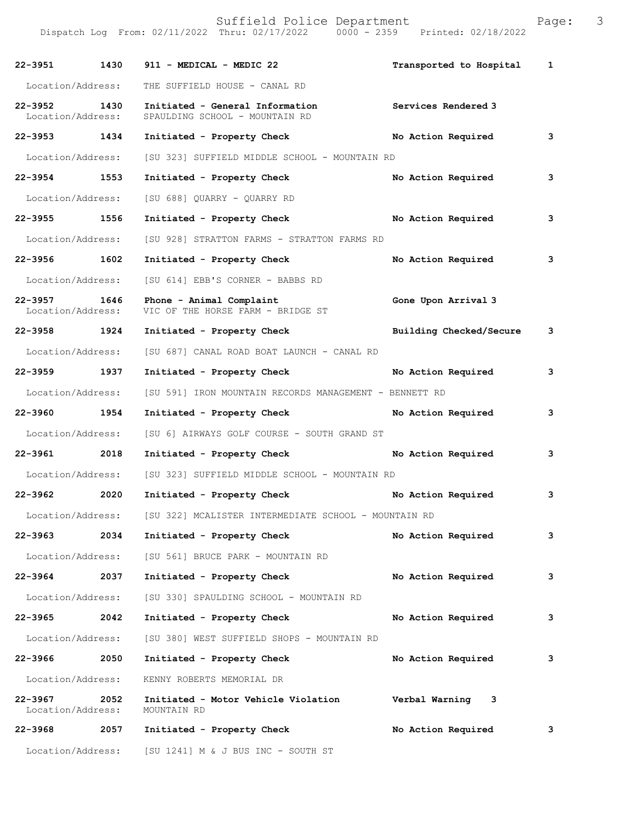Dispatch Log From: 02/11/2022 Thru: 02/17/2022 0000 - 2359 Printed: 02/18/2022 **22-3951 1430 911 - MEDICAL - MEDIC 22 Transported to Hospital 1** Location/Address: THE SUFFIELD HOUSE - CANAL RD **22-3952 1430 Initiated - General Information Services Rendered 3**  Location/Address: SPAULDING SCHOOL - MOUNTAIN RD **22-3953 1434 Initiated - Property Check No Action Required 3** Location/Address: [SU 323] SUFFIELD MIDDLE SCHOOL - MOUNTAIN RD **22-3954 1553 Initiated - Property Check No Action Required 3** Location/Address: [SU 688] QUARRY - QUARRY RD **22-3955 1556 Initiated - Property Check No Action Required 3** Location/Address: [SU 928] STRATTON FARMS - STRATTON FARMS RD **22-3956 1602 Initiated - Property Check No Action Required 3** Location/Address: [SU 614] EBB'S CORNER - BABBS RD **22-3957 1646 Phone - Animal Complaint 616 Cone Upon Arrival 3**<br>Location/Address: VIC OF THE HORSE FARM - BRIDGE ST VIC OF THE HORSE FARM - BRIDGE ST **22-3958 1924 Initiated - Property Check Building Checked/Secure 3** Location/Address: [SU 687] CANAL ROAD BOAT LAUNCH - CANAL RD **22-3959 1937 Initiated - Property Check No Action Required 3** Location/Address: [SU 591] IRON MOUNTAIN RECORDS MANAGEMENT - BENNETT RD **22-3960 1954 Initiated - Property Check No Action Required 3** Location/Address: [SU 6] AIRWAYS GOLF COURSE - SOUTH GRAND ST **22-3961 2018 Initiated - Property Check No Action Required 3** Location/Address: [SU 323] SUFFIELD MIDDLE SCHOOL - MOUNTAIN RD **22-3962 2020 Initiated - Property Check No Action Required 3** Location/Address: [SU 322] MCALISTER INTERMEDIATE SCHOOL - MOUNTAIN RD **22-3963 2034 Initiated - Property Check No Action Required 3** Location/Address: [SU 561] BRUCE PARK - MOUNTAIN RD **22-3964 2037 Initiated - Property Check No Action Required 3** Location/Address: [SU 330] SPAULDING SCHOOL - MOUNTAIN RD **22-3965 2042 Initiated - Property Check No Action Required 3** Location/Address: [SU 380] WEST SUFFIELD SHOPS - MOUNTAIN RD **22-3966 2050 Initiated - Property Check No Action Required 3** Location/Address: KENNY ROBERTS MEMORIAL DR **22-3967 2052 Initiated - Motor Vehicle Violation Verbal Warning 3**  Location/Address: **22-3968 2057 Initiated - Property Check No Action Required 3**

Location/Address: [SU 1241] M & J BUS INC - SOUTH ST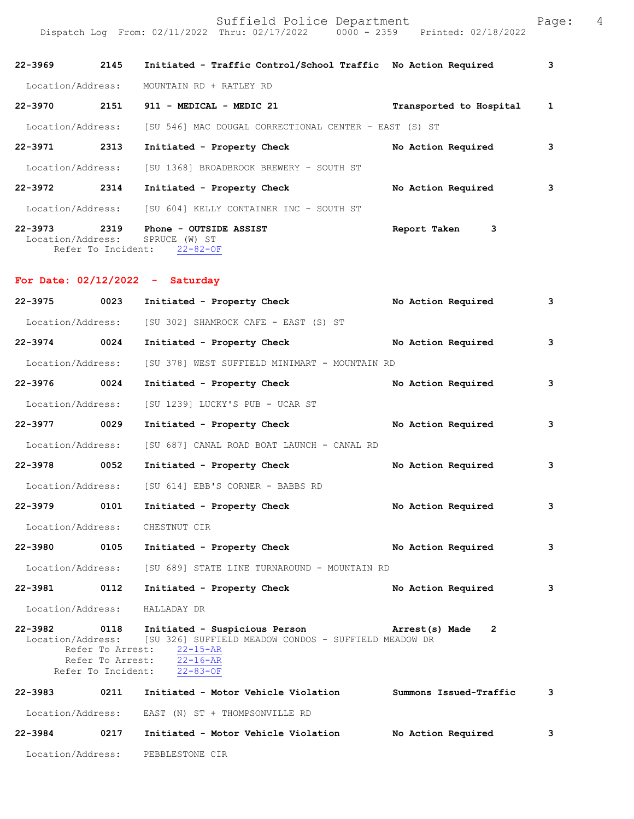| $22 - 3969$       | 2145                                            | Initiated - Traffic Control/School Traffic No Action Required  |                         | 3 |
|-------------------|-------------------------------------------------|----------------------------------------------------------------|-------------------------|---|
| Location/Address: |                                                 | MOUNTAIN RD + RATLEY RD                                        |                         |   |
| $22 - 3970$       | 2151                                            | 911 - MEDICAL - MEDIC 21                                       | Transported to Hospital | 1 |
| Location/Address: |                                                 | [SU 546] MAC DOUGAL CORRECTIONAL CENTER - EAST (S) ST          |                         |   |
| $22 - 3971$       | 2313                                            | Initiated - Property Check                                     | No Action Required      | 3 |
| Location/Address: |                                                 | [SU 1368] BROADBROOK BREWERY - SOUTH ST                        |                         |   |
| $22 - 3972$       | 2314                                            | Initiated - Property Check                                     | No Action Required      | 3 |
| Location/Address: |                                                 | [SU 604] KELLY CONTAINER INC - SOUTH ST                        |                         |   |
| $22 - 3973$       | 2319<br>Location/Address:<br>Refer To Incident: | Phone - OUTSIDE ASSIST<br>SPRUCE<br>$(W)$ ST<br>$22 - 82 - OF$ | 3<br>Report Taken       |   |

## **For Date: 02/12/2022 - Saturday**

| 22-3975           | 0023 | Initiated - Property Check                                                                                                                                                                                                                 | No Action Required | 3 |
|-------------------|------|--------------------------------------------------------------------------------------------------------------------------------------------------------------------------------------------------------------------------------------------|--------------------|---|
| Location/Address: |      | [SU 302] SHAMROCK CAFE - EAST (S) ST                                                                                                                                                                                                       |                    |   |
| 22-3974 0024      |      | Initiated - Property Check No Action Required                                                                                                                                                                                              |                    | 3 |
| Location/Address: |      | [SU 378] WEST SUFFIELD MINIMART - MOUNTAIN RD                                                                                                                                                                                              |                    |   |
| 22-3976 0024      |      | Initiated - Property Check No Action Required                                                                                                                                                                                              |                    | 3 |
| Location/Address: |      | [SU 1239] LUCKY'S PUB - UCAR ST                                                                                                                                                                                                            |                    |   |
| 22-3977 0029      |      | Initiated - Property Check No Action Required                                                                                                                                                                                              |                    | 3 |
| Location/Address: |      | [SU 687] CANAL ROAD BOAT LAUNCH - CANAL RD                                                                                                                                                                                                 |                    |   |
| 22-3978 0052      |      | Initiated - Property Check                                                                                                                                                                                                                 | No Action Required | 3 |
| Location/Address: |      | [SU 614] EBB'S CORNER - BABBS RD                                                                                                                                                                                                           |                    |   |
| 22-3979 0101      |      | Initiated - Property Check                                                                                                                                                                                                                 | No Action Required | 3 |
| Location/Address: |      | CHESTNUT CIR                                                                                                                                                                                                                               |                    |   |
| 22-3980 0105      |      | Initiated - Property Check No Action Required                                                                                                                                                                                              |                    | 3 |
|                   |      | Location/Address: [SU 689] STATE LINE TURNAROUND - MOUNTAIN RD                                                                                                                                                                             |                    |   |
| 22-3981 0112      |      | Initiated - Property Check                                                                                                                                                                                                                 | No Action Required | 3 |
|                   |      | Location/Address: HALLADAY DR                                                                                                                                                                                                              |                    |   |
|                   |      | 22-3982 0118 Initiated - Suspicious Person Marrest(s) Made<br>Location/Address: [SU 326] SUFFIELD MEADOW CONDOS - SUFFIELD MEADOW DR<br>Refer To Arrest: 22-15-AR<br>Refer To Arrest: $\overline{22-16-AR}$<br>Refer To Incident: 22-83-OF | $\overline{2}$     |   |
|                   |      | 22-3983 0211 Initiated - Motor Vehicle Violation Summons Issued-Traffic                                                                                                                                                                    |                    | 3 |
|                   |      | Location/Address: EAST (N) ST + THOMPSONVILLE RD                                                                                                                                                                                           |                    |   |
|                   |      | 22-3984 0217 Initiated - Motor Vehicle Violation No Action Required                                                                                                                                                                        |                    | 3 |
|                   |      | Location/Address: PEBBLESTONE CIR                                                                                                                                                                                                          |                    |   |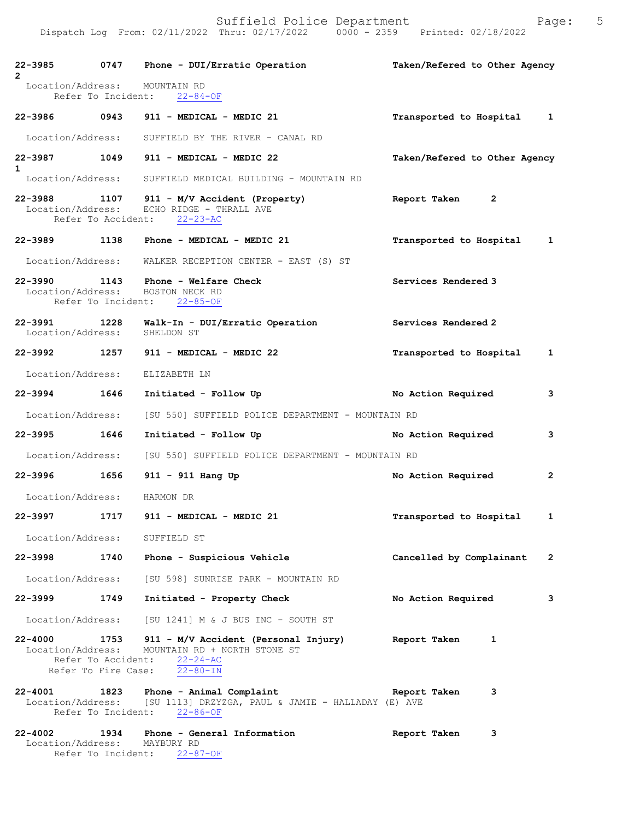| $\overline{2}$                               | 22-3985 0747 Phone - DUI/Erratic Operation                                                                                                                                        | Taken/Refered to Other Agency |
|----------------------------------------------|-----------------------------------------------------------------------------------------------------------------------------------------------------------------------------------|-------------------------------|
| Location/Address: MOUNTAIN RD                | Refer To Incident: 22-84-OF                                                                                                                                                       |                               |
|                                              | 22-3986 0943 911 - MEDICAL - MEDIC 21                                                                                                                                             | Transported to Hospital 1     |
| Location/Address:                            | SUFFIELD BY THE RIVER - CANAL RD                                                                                                                                                  |                               |
| $\mathbf{1}$                                 | 22-3987 1049 911 - MEDICAL - MEDIC 22                                                                                                                                             | Taken/Refered to Other Agency |
|                                              | Location/Address: SUFFIELD MEDICAL BUILDING - MOUNTAIN RD                                                                                                                         |                               |
|                                              | 22-3988 1107 911 - M/V Accident (Property)<br>Location/Address: ECHO RIDGE - THRALL AVE<br>Refer To Accident: 22-23-AC                                                            | Report Taken<br>$\mathbf{2}$  |
|                                              | 22-3989 1138 Phone - MEDICAL - MEDIC 21                                                                                                                                           | Transported to Hospital 1     |
|                                              | Location/Address: WALKER RECEPTION CENTER - EAST (S) ST                                                                                                                           |                               |
|                                              | $22-3990$ 1143 Phone - Welfare Check<br>Location/Address: BOSTON NECK RD<br>Refer To Incident: 22-85-OF                                                                           | Services Rendered 3           |
| 22-3991 1228<br>Location/Address: SHELDON ST | Walk-In - DUI/Erratic Operation                                                                                                                                                   | Services Rendered 2           |
|                                              | 22-3992 1257 911 - MEDICAL - MEDIC 22                                                                                                                                             | Transported to Hospital 1     |
| Location/Address: ELIZABETH LN               |                                                                                                                                                                                   |                               |
| 22-3994 1646                                 | Initiated - Follow Up                                                                                                                                                             | No Action Required<br>3       |
| Location/Address:                            | [SU 550] SUFFIELD POLICE DEPARTMENT - MOUNTAIN RD                                                                                                                                 |                               |
| 22-3995 1646                                 | Initiated - Follow Up                                                                                                                                                             | No Action Required<br>3       |
| Location/Address:                            | [SU 550] SUFFIELD POLICE DEPARTMENT - MOUNTAIN RD                                                                                                                                 |                               |
| 22-3996 1656                                 | 911 - 911 Hang Up                                                                                                                                                                 | No Action Required 2          |
| Location/Address: HARMON DR                  |                                                                                                                                                                                   |                               |
|                                              | 22-3997 1717 911 - MEDICAL - MEDIC 21                                                                                                                                             | Transported to Hospital 1     |
| Location/Address: SUFFIELD ST                |                                                                                                                                                                                   |                               |
|                                              | 22-3998 1740 Phone - Suspicious Vehicle                                                                                                                                           | Cancelled by Complainant 2    |
|                                              | Location/Address: [SU 598] SUNRISE PARK - MOUNTAIN RD                                                                                                                             |                               |
| 22-3999 1749                                 | Initiated - Property Check                                                                                                                                                        | No Action Required<br>3       |
|                                              | Location/Address: [SU 1241] M & J BUS INC - SOUTH ST                                                                                                                              |                               |
|                                              | 22-4000 1753 911 - M/V Accident (Personal Injury) Report Taken 1<br>Location/Address: MOUNTAIN RD + NORTH STONE ST<br>Refer To Accident: 22-24-AC<br>Refer To Fire Case: 22-80-IN |                               |
|                                              | 22-4001 1823 Phone - Animal Complaint<br>Location/Address: [SU 1113] DRZYZGA, PAUL & JAMIE - HALLADAY (E) AVE<br>Refer To Incident: 22-86-OF                                      | 3<br>Report Taken             |
| Location/Address: MAYBURY RD                 | 22-4002 1934 Phone - General Information<br>Refer To Incident: 22-87-OF                                                                                                           | Report Taken<br>3             |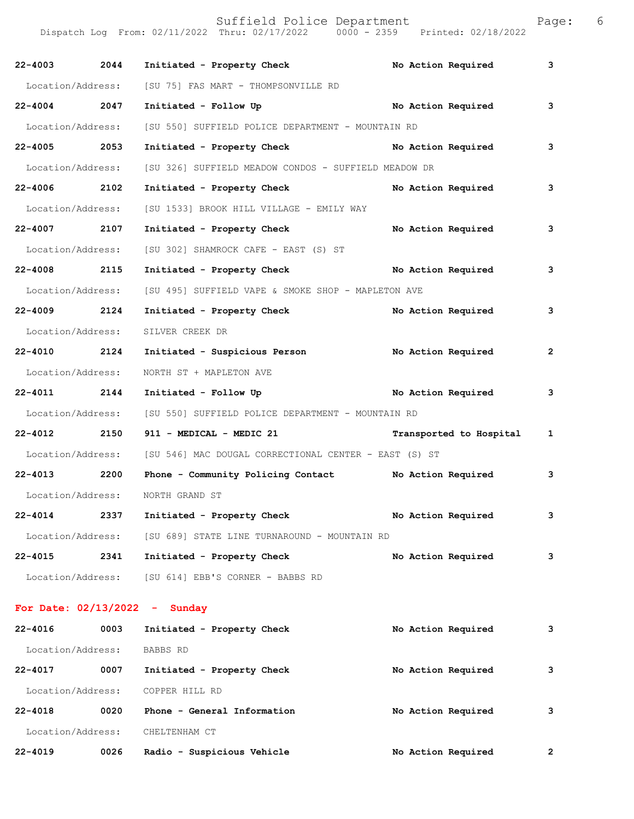| ٢.<br>t |
|---------|
| ċ.      |

|                   |      | Dispatch Log From: 02/11/2022 Thru: 02/17/2022 0000 - 2359 Printed: 02/18/2022 |                         |   |
|-------------------|------|--------------------------------------------------------------------------------|-------------------------|---|
| 22-4003 2044      |      | Initiated - Property Check No Action Required                                  |                         | 3 |
| Location/Address: |      | [SU 75] FAS MART - THOMPSONVILLE RD                                            |                         |   |
| 22-4004 2047      |      |                                                                                |                         | 3 |
| Location/Address: |      | [SU 550] SUFFIELD POLICE DEPARTMENT - MOUNTAIN RD                              |                         |   |
| 22-4005 2053      |      | Initiated - Property Check No Action Required                                  |                         | 3 |
| Location/Address: |      | [SU 326] SUFFIELD MEADOW CONDOS - SUFFIELD MEADOW DR                           |                         |   |
| 22-4006 2102      |      | Initiated - Property Check No Action Required                                  |                         | 3 |
| Location/Address: |      | [SU 1533] BROOK HILL VILLAGE - EMILY WAY                                       |                         |   |
| 22-4007 2107      |      | Initiated - Property Check No Action Required                                  |                         | з |
| Location/Address: |      | [SU 302] SHAMROCK CAFE - EAST (S) ST                                           |                         |   |
| 22-4008 2115      |      | Initiated - Property Check No Action Required                                  |                         | 3 |
| Location/Address: |      | [SU 495] SUFFIELD VAPE & SMOKE SHOP - MAPLETON AVE                             |                         |   |
| 22-4009 2124      |      | Initiated - Property Check                                                     | No Action Required      | з |
| Location/Address: |      | SILVER CREEK DR                                                                |                         |   |
| 22-4010 2124      |      | Initiated - Suspicious Person No Action Required                               |                         | 2 |
| Location/Address: |      | NORTH ST + MAPLETON AVE                                                        |                         |   |
| 22-4011 2144      |      | Initiated - Follow Up <b>Example 2018</b> No Action Required                   |                         | 3 |
| Location/Address: |      | [SU 550] SUFFIELD POLICE DEPARTMENT - MOUNTAIN RD                              |                         |   |
| 22-4012 2150      |      | 911 - MEDICAL - MEDIC 21                                                       | Transported to Hospital | 1 |
|                   |      | Location/Address: [SU 546] MAC DOUGAL CORRECTIONAL CENTER - EAST (S) ST        |                         |   |
| 22-4013 2200      |      | Phone - Community Policing Contact No Action Required                          |                         | з |
| Location/Address: |      | NORTH GRAND ST                                                                 |                         |   |
| $22 - 4014$       | 2337 | Initiated - Property Check                                                     | No Action Required      | з |
| Location/Address: |      | [SU 689] STATE LINE TURNAROUND - MOUNTAIN RD                                   |                         |   |
| $22 - 4015$       | 2341 | Initiated - Property Check                                                     | No Action Required      | 3 |
|                   |      | Location/Address: [SU 614] EBB'S CORNER - BABBS RD                             |                         |   |
|                   |      | For Date: $02/13/2022 -$ Sunday                                                |                         |   |
| 22-4016           | 0003 | Initiated - Property Check                                                     | No Action Required      | з |
| Location/Address: |      | BABBS RD                                                                       |                         |   |
| 22-4017           | 0007 | Initiated - Property Check                                                     | No Action Required      | 3 |

Location/Address: COPPER HILL RD

**22-4018 0020 Phone - General Information No Action Required 3** Location/Address: CHELTENHAM CT **22-4019 0026 Radio - Suspicious Vehicle No Action Required 2**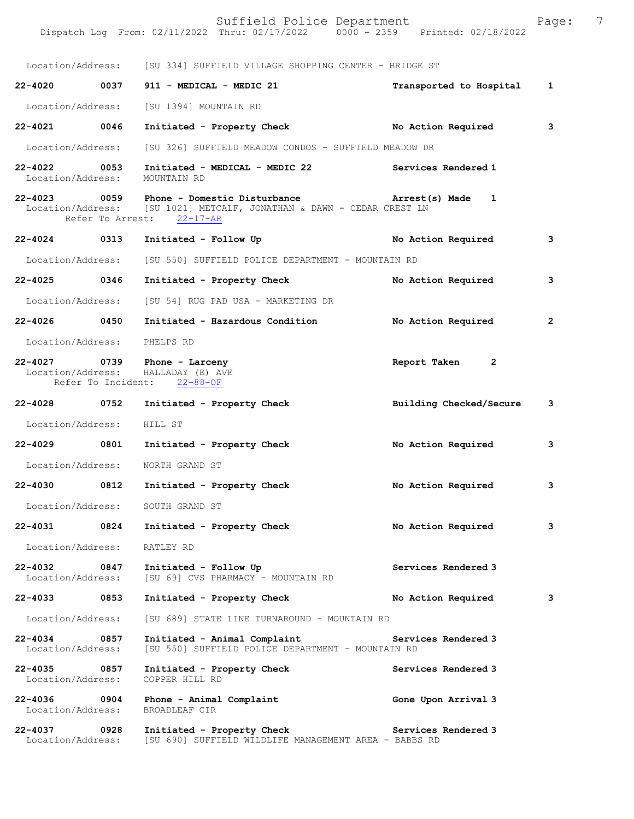|                                   |      | Location/Address: [SU 334] SUFFIELD VILLAGE SHOPPING CENTER - BRIDGE ST                                                                         |                              |                |
|-----------------------------------|------|-------------------------------------------------------------------------------------------------------------------------------------------------|------------------------------|----------------|
|                                   |      | 22-4020 0037 911 - MEDICAL - MEDIC 21                                                                                                           | Transported to Hospital 1    |                |
|                                   |      | Location/Address: [SU 1394] MOUNTAIN RD                                                                                                         |                              |                |
| 22-4021 0046                      |      | Initiated - Property Check No Action Required                                                                                                   |                              | 3              |
| Location/Address:                 |      | [SU 326] SUFFIELD MEADOW CONDOS - SUFFIELD MEADOW DR                                                                                            |                              |                |
| 22-4022 0053                      |      | Initiated - MEDICAL - MEDIC 22 Services Rendered 1<br>Location/Address: MOUNTAIN RD                                                             |                              |                |
|                                   |      | 22-4023 0059 Phone - Domestic Disturbance<br>Location/Address: [SU 1021] METCALF, JONATHAN & DAWN - CEDAR CREST LN<br>Refer To Arrest: 22-17-AR | Arrest(s) Made 1             |                |
| 22-4024 0313                      |      | Initiated - Follow Up                                                                                                                           | No Action Required           | 3              |
| Location/Address:                 |      | [SU 550] SUFFIELD POLICE DEPARTMENT - MOUNTAIN RD                                                                                               |                              |                |
| 22-4025 0346                      |      | Initiated - Property Check                                                                                                                      | No Action Required           | 3              |
|                                   |      | Location/Address: [SU 54] RUG PAD USA - MARKETING DR                                                                                            |                              |                |
| 22-4026 0450                      |      | Initiated - Hazardous Condition                                                                                                                 | No Action Required           | $\overline{2}$ |
| Location/Address: PHELPS RD       |      |                                                                                                                                                 |                              |                |
|                                   |      | 22-4027 0739 Phone - Larceny<br>Location/Address: HALLADAY (E) AVE<br>Refer To Incident: 22-88-OF                                               | Report Taken<br>$\mathbf{2}$ |                |
| 22-4028 0752                      |      | Initiated - Property Check                                                                                                                      | Building Checked/Secure      | 3              |
| Location/Address: HILL ST         |      |                                                                                                                                                 |                              |                |
| 22-4029 0801                      |      | Initiated - Property Check                                                                                                                      | No Action Required           | 3              |
|                                   |      | Location/Address: NORTH GRAND ST                                                                                                                |                              |                |
|                                   |      | 22-4030 0812 Initiated - Property Check                                                                                                         | No Action Required           | 3              |
|                                   |      | Location/Address: SOUTH GRAND ST                                                                                                                |                              |                |
| 22-4031                           | 0824 | Initiated - Property Check                                                                                                                      | No Action Required           | 3              |
| Location/Address:                 |      | RATLEY RD                                                                                                                                       |                              |                |
| 22-4032<br>Location/Address:      | 0847 | Initiated - Follow Up<br>[SU 69] CVS PHARMACY - MOUNTAIN RD                                                                                     | Services Rendered 3          |                |
| 22-4033                           | 0853 | Initiated - Property Check                                                                                                                      | No Action Required           | з              |
| Location/Address:                 |      | [SU 689] STATE LINE TURNAROUND - MOUNTAIN RD                                                                                                    |                              |                |
| $22 - 4034$<br>Location/Address:  | 0857 | Initiated - Animal Complaint<br>[SU 550] SUFFIELD POLICE DEPARTMENT - MOUNTAIN RD                                                               | Services Rendered 3          |                |
| 22-4035<br>Location/Address:      | 0857 | Initiated - Property Check<br>COPPER HILL RD                                                                                                    | Services Rendered 3          |                |
| 22-4036 0904<br>Location/Address: |      | Phone - Animal Complaint<br>BROADLEAF CIR                                                                                                       | Gone Upon Arrival 3          |                |
| 22-4037<br>Location/Address:      | 0928 | Initiated - Property Check<br>[SU 690] SUFFIELD WILDLIFE MANAGEMENT AREA - BABBS RD                                                             | Services Rendered 3          |                |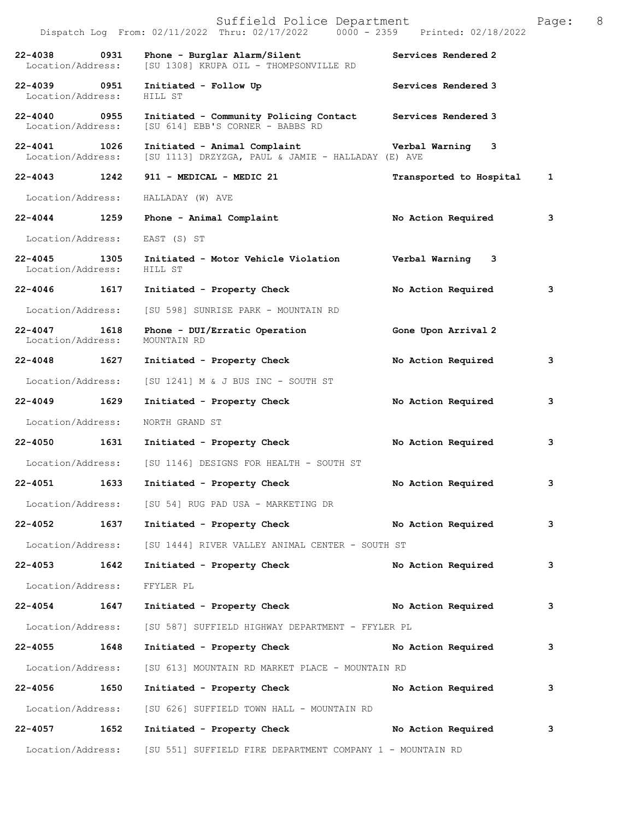|                                   |      | Suffield Police Department<br>Dispatch Log From: 02/11/2022 Thru: 02/17/2022 0000 - 2359 Printed: 02/18/2022 |                         | Page:        | 8 |
|-----------------------------------|------|--------------------------------------------------------------------------------------------------------------|-------------------------|--------------|---|
| $22 - 4038$<br>Location/Address:  | 0931 | Phone - Burglar Alarm/Silent<br>[SU 1308] KRUPA OIL - THOMPSONVILLE RD                                       | Services Rendered 2     |              |   |
| 22-4039 0951<br>Location/Address: |      | Initiated - Follow Up<br>HILL ST                                                                             | Services Rendered 3     |              |   |
| 22-4040 0955<br>Location/Address: |      | Initiated - Community Policing Contact<br>[SU 614] EBB'S CORNER - BABBS RD                                   | Services Rendered 3     |              |   |
| 22-4041 1026<br>Location/Address: |      | Initiated - Animal Complaint<br>[SU 1113] DRZYZGA, PAUL & JAMIE - HALLADAY (E) AVE                           | Verbal Warning 3        |              |   |
| $22 - 4043$                       | 1242 | 911 - MEDICAL - MEDIC 21                                                                                     | Transported to Hospital | $\mathbf{1}$ |   |
| Location/Address:                 |      | HALLADAY (W) AVE                                                                                             |                         |              |   |
| 22-4044 1259                      |      | Phone - Animal Complaint                                                                                     | No Action Required      | з            |   |
| Location/Address:                 |      | EAST (S) ST                                                                                                  |                         |              |   |
| 22-4045 1305<br>Location/Address: |      | Initiated - Motor Vehicle Violation<br>HILL ST                                                               | Verbal Warning 3        |              |   |
| $22 - 4046$                       | 1617 | Initiated - Property Check                                                                                   | No Action Required      | 3            |   |
| Location/Address:                 |      | [SU 598] SUNRISE PARK - MOUNTAIN RD                                                                          |                         |              |   |
| $22 - 4047$<br>Location/Address:  | 1618 | Phone - DUI/Erratic Operation<br>MOUNTAIN RD                                                                 | Gone Upon Arrival 2     |              |   |
| 22-4048 1627                      |      | Initiated - Property Check                                                                                   | No Action Required      | 3            |   |
| Location/Address:                 |      | $[SU 1241]$ M & J BUS INC - SOUTH ST                                                                         |                         |              |   |
| 22-4049                           | 1629 | Initiated - Property Check                                                                                   | No Action Required      | з            |   |
| Location/Address:                 |      | NORTH GRAND ST                                                                                               |                         |              |   |
| 22-4050 1631                      |      | Initiated - Property Check                                                                                   | No Action Required      | 3            |   |
|                                   |      | Location/Address: [SU 1146] DESIGNS FOR HEALTH - SOUTH ST                                                    |                         |              |   |
| 22-4051                           | 1633 | Initiated - Property Check                                                                                   | No Action Required      | 3            |   |
|                                   |      | Location/Address: [SU 54] RUG PAD USA - MARKETING DR                                                         |                         |              |   |
|                                   |      | 22-4052 1637 Initiated - Property Check No Action Required                                                   |                         | 3            |   |
|                                   |      | Location/Address: [SU 1444] RIVER VALLEY ANIMAL CENTER - SOUTH ST                                            |                         |              |   |
| 22-4053 1642                      |      | Initiated - Property Check                                                                                   | No Action Required      | 3            |   |
| Location/Address:                 |      | FFYLER PL                                                                                                    |                         |              |   |
| 22-4054 1647                      |      | Initiated - Property Check No Action Required                                                                |                         | з            |   |
|                                   |      | Location/Address: [SU 587] SUFFIELD HIGHWAY DEPARTMENT - FFYLER PL                                           |                         |              |   |
| 22-4055 1648                      |      | Initiated - Property Check No Action Required                                                                |                         | 3            |   |
| Location/Address:                 |      | [SU 613] MOUNTAIN RD MARKET PLACE - MOUNTAIN RD                                                              |                         |              |   |
| 22-4056 1650                      |      | Initiated - Property Check No Action Required                                                                |                         | 3            |   |
|                                   |      | Location/Address: [SU 626] SUFFIELD TOWN HALL - MOUNTAIN RD                                                  |                         |              |   |
| $22 - 4057$                       | 1652 | Initiated - Property Check No Action Required                                                                |                         | 3            |   |
|                                   |      | Location/Address: [SU 551] SUFFIELD FIRE DEPARTMENT COMPANY 1 - MOUNTAIN RD                                  |                         |              |   |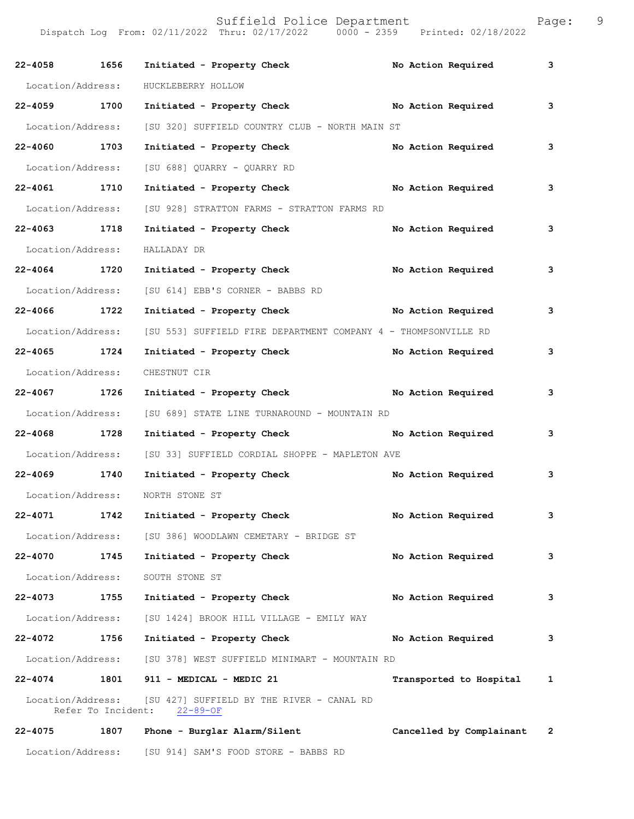| $22 - 4058$       | 1656 | Initiated - Property Check                                                                 | No Action Required         | 3 |
|-------------------|------|--------------------------------------------------------------------------------------------|----------------------------|---|
| Location/Address: |      | HUCKLEBERRY HOLLOW                                                                         |                            |   |
| 22-4059 1700      |      | Initiated - Property Check No Action Required                                              |                            | 3 |
| Location/Address: |      | [SU 320] SUFFIELD COUNTRY CLUB - NORTH MAIN ST                                             |                            |   |
| 22-4060 1703      |      | Initiated - Property Check                                                                 | No Action Required         | 3 |
| Location/Address: |      | [SU 688] QUARRY - QUARRY RD                                                                |                            |   |
| 22-4061 1710      |      | Initiated - Property Check                                                                 | No Action Required         | 3 |
| Location/Address: |      | [SU 928] STRATTON FARMS - STRATTON FARMS RD                                                |                            |   |
| 22-4063 1718      |      | Initiated - Property Check                                                                 | No Action Required         | 3 |
| Location/Address: |      | HALLADAY DR                                                                                |                            |   |
| 22-4064 1720      |      | Initiated - Property Check                                                                 | No Action Required         | 3 |
| Location/Address: |      | [SU 614] EBB'S CORNER - BABBS RD                                                           |                            |   |
| 22-4066 1722      |      | Initiated - Property Check No Action Required                                              |                            | 3 |
| Location/Address: |      | [SU 553] SUFFIELD FIRE DEPARTMENT COMPANY 4 - THOMPSONVILLE RD                             |                            |   |
| 22-4065 1724      |      | Initiated - Property Check                                                                 | No Action Required         | 3 |
| Location/Address: |      | CHESTNUT CIR                                                                               |                            |   |
| 22-4067 1726      |      | Initiated - Property Check No Action Required                                              |                            | 3 |
| Location/Address: |      | [SU 689] STATE LINE TURNAROUND - MOUNTAIN RD                                               |                            |   |
| 22-4068 1728      |      | Initiated - Property Check                                                                 | No Action Required         | 3 |
| Location/Address: |      | [SU 33] SUFFIELD CORDIAL SHOPPE - MAPLETON AVE                                             |                            |   |
| 22-4069 1740      |      | Initiated - Property Check No Action Required                                              |                            | 3 |
|                   |      | Location/Address: NORTH STONE ST                                                           |                            |   |
|                   |      | 22-4071 1742 Initiated - Property Check                                                    | No Action Required         |   |
|                   |      | Location/Address: [SU 386] WOODLAWN CEMETARY - BRIDGE ST                                   |                            |   |
| 22-4070 1745      |      | Initiated - Property Check                                                                 | No Action Required         | 3 |
| Location/Address: |      | SOUTH STONE ST                                                                             |                            |   |
| 22-4073 1755      |      | Initiated - Property Check No Action Required                                              |                            | 3 |
|                   |      | Location/Address: [SU 1424] BROOK HILL VILLAGE - EMILY WAY                                 |                            |   |
| 22-4072 1756      |      | Initiated - Property Check                                                                 | No Action Required         | 3 |
|                   |      | Location/Address: [SU 378] WEST SUFFIELD MINIMART - MOUNTAIN RD                            |                            |   |
|                   |      | 22-4074 1801 911 - MEDICAL - MEDIC 21                                                      | Transported to Hospital 1  |   |
|                   |      | Location/Address: [SU 427] SUFFIELD BY THE RIVER - CANAL RD<br>Refer To Incident: 22-89-OF |                            |   |
|                   |      | 22-4075 1807 Phone - Burglar Alarm/Silent                                                  | Cancelled by Complainant 2 |   |
|                   |      | Location/Address: [SU 914] SAM'S FOOD STORE - BABBS RD                                     |                            |   |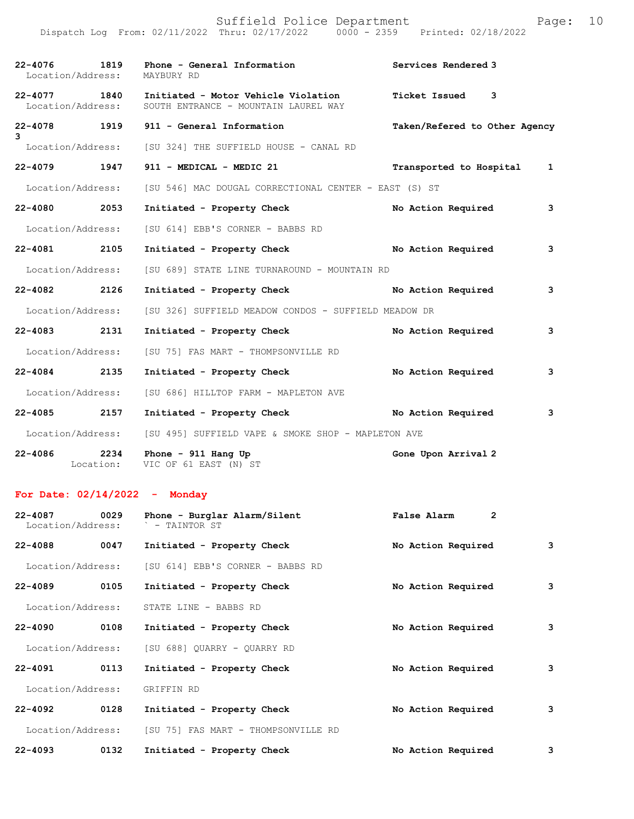|                   | Suffield Police Department<br>Dispatch Log From: 02/11/2022 Thru: 02/17/2022 0000 - 2359 Printed: 02/18/2022 | Page:                         | 10 |
|-------------------|--------------------------------------------------------------------------------------------------------------|-------------------------------|----|
|                   | 22-4076 1819 Phone - General Information 22-4076 Services Rendered 3<br>Location/Address: MAYBURY RD         |                               |    |
|                   | 22-4077 1840 Initiated - Motor Vehicle Violation<br>Location/Address: SOUTH ENTRANCE - MOUNTAIN LAUREL WAY   | Ticket Issued 3               |    |
| 3                 | 22-4078 1919 911 - General Information                                                                       | Taken/Refered to Other Agency |    |
|                   | Location/Address: [SU 324] THE SUFFIELD HOUSE - CANAL RD                                                     |                               |    |
| 22-4079 1947      | 911 - MEDICAL - MEDIC 21                                                                                     | Transported to Hospital<br>1  |    |
| Location/Address: | [SU 546] MAC DOUGAL CORRECTIONAL CENTER - EAST (S) ST                                                        |                               |    |
| 22-4080 2053      | Initiated - Property Check                                                                                   | No Action Required<br>3       |    |
| Location/Address: | [SU 614] EBB'S CORNER - BABBS RD                                                                             |                               |    |
| 22-4081 2105      | Initiated - Property Check No Action Required                                                                | 3                             |    |
| Location/Address: | [SU 689] STATE LINE TURNAROUND - MOUNTAIN RD                                                                 |                               |    |
| 22-4082 2126      | Initiated - Property Check No Action Required                                                                | 3                             |    |
| Location/Address: | [SU 326] SUFFIELD MEADOW CONDOS - SUFFIELD MEADOW DR                                                         |                               |    |
| 22-4083 2131      | Initiated - Property Check                                                                                   | No Action Required<br>3       |    |
| Location/Address: | [SU 75] FAS MART - THOMPSONVILLE RD                                                                          |                               |    |
| 22-4084 2135      | Initiated - Property Check                                                                                   | No Action Required<br>3       |    |
| Location/Address: | [SU 686] HILLTOP FARM - MAPLETON AVE                                                                         |                               |    |
| 22-4085 2157      | Initiated - Property Check No Action Required                                                                | 3                             |    |
|                   | Location/Address: [SU 495] SUFFIELD VAPE & SMOKE SHOP - MAPLETON AVE                                         |                               |    |
|                   |                                                                                                              |                               |    |

**22-4086 2234 Phone - 911 Hang Up Gone Upon Arrival 2**  Location: VIC OF 61 EAST (N) ST

## **For Date: 02/14/2022 - Monday**

| $22 - 4087$<br>Location/Address: | 0029 | Phone - Burglar Alarm/Silent<br>` - TAINTOR ST | False Alarm<br>2   |   |
|----------------------------------|------|------------------------------------------------|--------------------|---|
| $22 - 4088$                      | 0047 | Initiated - Property Check                     | No Action Required | 3 |
| Location/Address:                |      | [SU 614] EBB'S CORNER - BABBS RD               |                    |   |
| $22 - 4089$                      | 0105 | Initiated - Property Check                     | No Action Required | 3 |
| Location/Address:                |      | STATE LINE - BABBS RD                          |                    |   |
| $22 - 4090$                      | 0108 | Initiated - Property Check                     | No Action Required | 3 |
| Location/Address:                |      | [SU 688] OUARRY - OUARRY RD                    |                    |   |
| $22 - 4091$                      | 0113 | Initiated - Property Check                     | No Action Required | 3 |
| Location/Address:                |      | GRIFFIN RD                                     |                    |   |
| $22 - 4092$                      | 0128 | Initiated - Property Check                     | No Action Required | 3 |
| Location/Address:                |      | [SU 75] FAS MART - THOMPSONVILLE RD            |                    |   |
| $22 - 4093$                      | 0132 | Initiated - Property Check                     | No Action Required | 3 |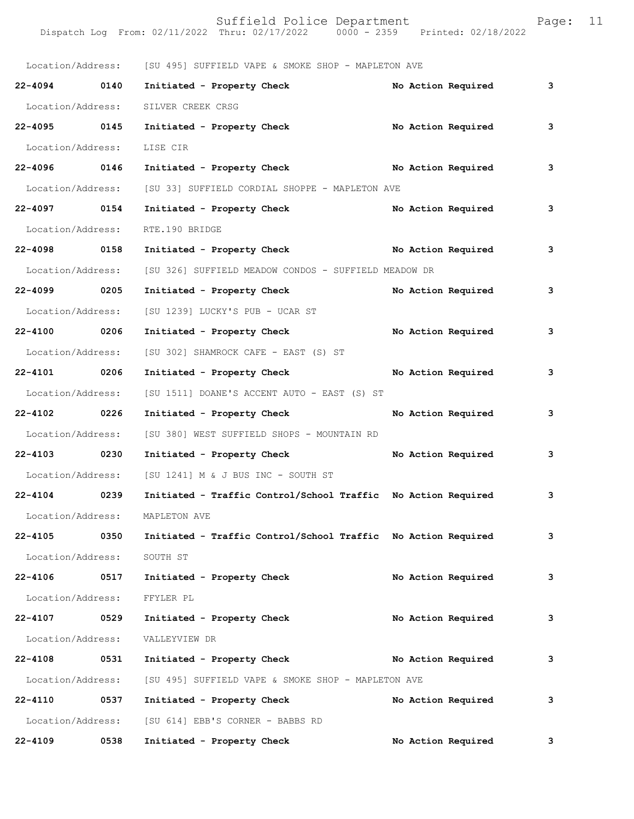|                   |      | Location/Address: [SU 495] SUFFIELD VAPE & SMOKE SHOP - MAPLETON AVE |  |                    |   |
|-------------------|------|----------------------------------------------------------------------|--|--------------------|---|
| 22-4094 0140      |      | Initiated - Property Check                                           |  | No Action Required | 3 |
| Location/Address: |      | SILVER CREEK CRSG                                                    |  |                    |   |
| 22-4095 0145      |      | No Action Required<br>Initiated - Property Check                     |  |                    | 3 |
| Location/Address: |      | LISE CIR                                                             |  |                    |   |
| 22-4096 0146      |      | Initiated - Property Check No Action Required                        |  |                    | 3 |
| Location/Address: |      | [SU 33] SUFFIELD CORDIAL SHOPPE - MAPLETON AVE                       |  |                    |   |
| 22-4097 0154      |      | Initiated - Property Check No Action Required                        |  |                    | 3 |
| Location/Address: |      | RTE.190 BRIDGE                                                       |  |                    |   |
| 22-4098 0158      |      | Initiated - Property Check No Action Required                        |  |                    | 3 |
| Location/Address: |      | [SU 326] SUFFIELD MEADOW CONDOS - SUFFIELD MEADOW DR                 |  |                    |   |
| 22-4099 0205      |      | Initiated - Property Check                                           |  | No Action Required | 3 |
| Location/Address: |      | [SU 1239] LUCKY'S PUB - UCAR ST                                      |  |                    |   |
| 22-4100 0206      |      | Initiated - Property Check                                           |  | No Action Required | 3 |
| Location/Address: |      | [SU 302] SHAMROCK CAFE - EAST (S) ST                                 |  |                    |   |
| 22-4101 0206      |      | Initiated - Property Check No Action Required                        |  |                    | 3 |
| Location/Address: |      | [SU 1511] DOANE'S ACCENT AUTO - EAST (S) ST                          |  |                    |   |
| 22-4102 0226      |      | Initiated - Property Check                                           |  | No Action Required | 3 |
| Location/Address: |      | [SU 380] WEST SUFFIELD SHOPS - MOUNTAIN RD                           |  |                    |   |
| 22-4103 0230      |      | Initiated - Property Check                                           |  | No Action Required | 3 |
| Location/Address: |      | [SU 1241] M & J BUS INC - SOUTH ST                                   |  |                    |   |
| 22-4104 0239      |      | Initiated - Traffic Control/School Traffic No Action Required        |  |                    | 3 |
| Location/Address: |      | MAPLETON AVE                                                         |  |                    |   |
| 22-4105           | 0350 | Initiated - Traffic Control/School Traffic No Action Required        |  |                    | 3 |
| Location/Address: |      | SOUTH ST                                                             |  |                    |   |
| 22-4106 0517      |      | Initiated - Property Check                                           |  | No Action Required | 3 |
| Location/Address: |      | FFYLER PL                                                            |  |                    |   |
| 22-4107 0529      |      | Initiated - Property Check                                           |  | No Action Required | 3 |
| Location/Address: |      | VALLEYVIEW DR                                                        |  |                    |   |
| 22-4108           | 0531 | Initiated - Property Check                                           |  | No Action Required | 3 |
| Location/Address: |      | [SU 495] SUFFIELD VAPE & SMOKE SHOP - MAPLETON AVE                   |  |                    |   |
| 22-4110           | 0537 | Initiated - Property Check                                           |  | No Action Required | 3 |
| Location/Address: |      | [SU 614] EBB'S CORNER - BABBS RD                                     |  |                    |   |
| 22-4109           | 0538 | Initiated - Property Check                                           |  | No Action Required | 3 |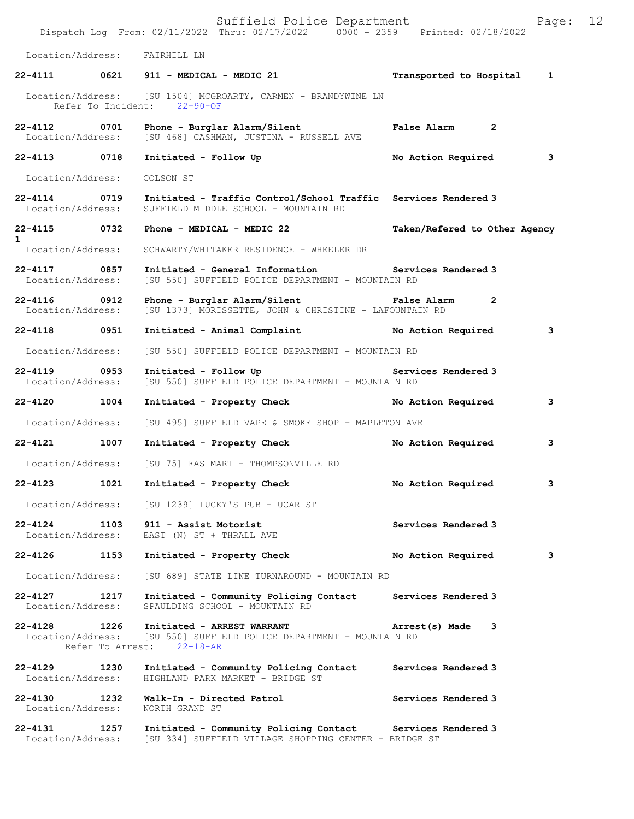Suffield Police Department Page: 12 Dispatch Log From: 02/11/2022 Thru: 02/17/2022 0000 - 2359 Printed: 02/18/2022 Location/Address: FAIRHILL LN **22-4111 0621 911 - MEDICAL - MEDIC 21 Transported to Hospital 1** Location/Address: [SU 1504] MCGROARTY, CARMEN - BRANDYWINE LN Refer To Incident: 22-90-OF **22-4112 0701 Phone - Burglar Alarm/Silent False Alarm 2**  Location/Address: [SU 468] CASHMAN, JUSTINA - RUSSELL AVE **22-4113 0718 Initiated - Follow Up No Action Required 3** Location/Address: COLSON ST **22-4114 0719 Initiated - Traffic Control/School Traffic Services Rendered 3**  Location/Address: SUFFIELD MIDDLE SCHOOL - MOUNTAIN RD **22-4115 0732 Phone - MEDICAL - MEDIC 22 Taken/Refered to Other Agency 1**  Location/Address: SCHWARTY/WHITAKER RESIDENCE - WHEELER DR **22-4117 0857 Initiated - General Information Services Rendered 3**  Location/Address: [SU 550] SUFFIELD POLICE DEPARTMENT - MOUNTAIN RD **22-4116 0912 Phone - Burglar Alarm/Silent False Alarm 2**  Location/Address: [SU 1373] MORISSETTE, JOHN & CHRISTINE - LAFOUNTAIN RD **22-4118 0951 Initiated - Animal Complaint No Action Required 3** Location/Address: [SU 550] SUFFIELD POLICE DEPARTMENT - MOUNTAIN RD 22-4119 **0953** Initiated - Follow Up **Services Rendered 3**  Location/Address: [SU 550] SUFFIELD POLICE DEPARTMENT - MOUNTAIN RD **22-4120 1004 Initiated - Property Check No Action Required 3** Location/Address: [SU 495] SUFFIELD VAPE & SMOKE SHOP - MAPLETON AVE **22-4121 1007 Initiated - Property Check No Action Required 3** Location/Address: [SU 75] FAS MART - THOMPSONVILLE RD **22-4123 1021 Initiated - Property Check No Action Required 3** Location/Address: [SU 1239] LUCKY'S PUB - UCAR ST **22-4124 1103 911 - Assist Motorist Services Rendered 3 Iocation/Address:** EAST (N) ST + THRALL AVE EAST (N) ST + THRALL AVE **22-4126 1153 Initiated - Property Check No Action Required 3** Location/Address: [SU 689] STATE LINE TURNAROUND - MOUNTAIN RD **22-4127 1217 Initiated - Community Policing Contact Services Rendered 3**  Location/Address: SPAULDING SCHOOL - MOUNTAIN RD **22-4128 1226 Initiated - ARREST WARRANT Arrest(s) Made 3**  [SU 550] SUFFIELD POLICE DEPARTMENT - MOUNTAIN RD Refer To Arrest: 22-18-AR **22-4129 1230 Initiated - Community Policing Contact Services Rendered 3**  HIGHLAND PARK MARKET - BRIDGE ST **22-4130 1232 Walk-In - Directed Patrol Services Rendered 3**  Location/Address: **22-4131 1257 Initiated - Community Policing Contact Services Rendered 3**  Location/Address: [SU 334] SUFFIELD VILLAGE SHOPPING CENTER - BRIDGE ST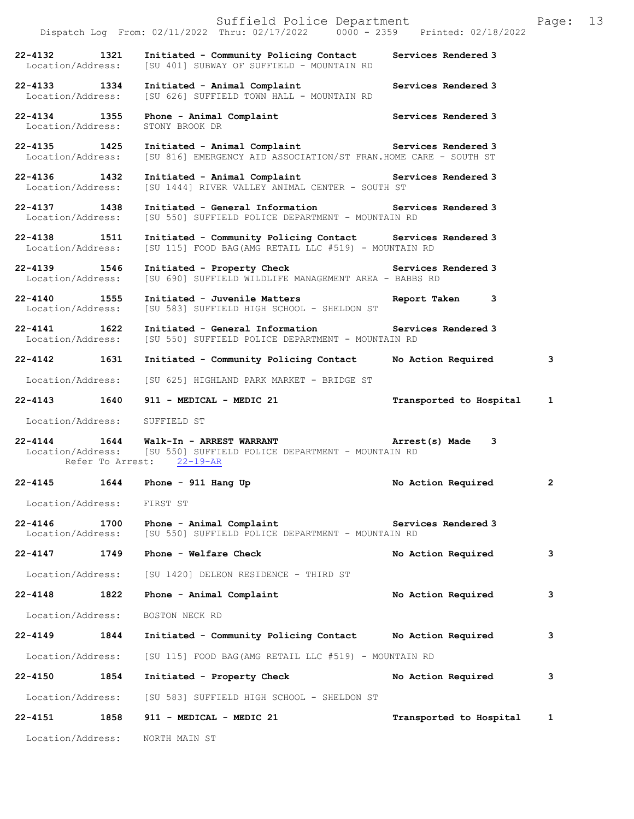|                                   |      | Suffield Police Department<br>Dispatch Log From: 02/11/2022 Thru: 02/17/2022 0000 - 2359 Printed: 02/18/2022                                                     |                         | Page: | 13 |
|-----------------------------------|------|------------------------------------------------------------------------------------------------------------------------------------------------------------------|-------------------------|-------|----|
| 22-4132 1321<br>Location/Address: |      | Initiated - Community Policing Contact Services Rendered 3<br>[SU 401] SUBWAY OF SUFFIELD - MOUNTAIN RD                                                          |                         |       |    |
| 22-4133 1334<br>Location/Address: |      | Initiated - Animal Complaint<br>[SU 626] SUFFIELD TOWN HALL - MOUNTAIN RD                                                                                        | Services Rendered 3     |       |    |
| 22-4134 1355<br>Location/Address: |      | Phone - Animal Complaint<br>STONY BROOK DR                                                                                                                       | Services Rendered 3     |       |    |
| 22-4135 1425<br>Location/Address: |      | Initiated - Animal Complaint <b>Example 2</b> Services Rendered 3<br>[SU 816] EMERGENCY AID ASSOCIATION/ST FRAN.HOME CARE - SOUTH ST                             |                         |       |    |
| 22-4136 1432<br>Location/Address: |      | Initiated - Animal Complaint <b>Exercise Services Rendered 3</b><br>[SU 1444] RIVER VALLEY ANIMAL CENTER - SOUTH ST                                              |                         |       |    |
| 22-4137 1438<br>Location/Address: |      | Initiated - General Information Services Rendered 3<br>[SU 550] SUFFIELD POLICE DEPARTMENT - MOUNTAIN RD                                                         |                         |       |    |
| 22-4138 1511<br>Location/Address: |      | Initiated - Community Policing Contact Services Rendered 3<br>[SU 115] FOOD BAG(AMG RETAIL LLC #519) - MOUNTAIN RD                                               |                         |       |    |
| 22-4139 1546<br>Location/Address: |      | Initiated - Property Check <b>Exercise Services Rendered 3</b><br>[SU 690] SUFFIELD WILDLIFE MANAGEMENT AREA - BABBS RD                                          |                         |       |    |
| 22-4140 1555<br>Location/Address: |      | Initiated - Juvenile Matters<br>[SU 583] SUFFIELD HIGH SCHOOL - SHELDON ST                                                                                       | Report Taken 3          |       |    |
| 22-4141 1622<br>Location/Address: |      | Initiated - General Information Services Rendered 3<br>[SU 550] SUFFIELD POLICE DEPARTMENT - MOUNTAIN RD                                                         |                         |       |    |
| 22-4142 1631                      |      | Initiated - Community Policing Contact No Action Required                                                                                                        |                         | 3     |    |
|                                   |      | Location/Address: [SU 625] HIGHLAND PARK MARKET - BRIDGE ST                                                                                                      |                         |       |    |
|                                   |      | 22-4143 1640 911 - MEDICAL - MEDIC 21                                                                                                                            | Transported to Hospital | 1     |    |
| Location/Address: SUFFIELD ST     |      |                                                                                                                                                                  |                         |       |    |
|                                   |      | 22-4144 1644 Walk-In - ARREST WARRANT (and Arrest (s) Made 3<br>Location/Address: [SU 550] SUFFIELD POLICE DEPARTMENT - MOUNTAIN RD<br>Refer To Arrest: 22-19-AR |                         |       |    |
| 22-4145                           | 1644 | Phone - $911$ Hang Up                                                                                                                                            | No Action Required      | 2     |    |
| Location/Address:                 |      | FIRST ST                                                                                                                                                         |                         |       |    |
| $22 - 4146$<br>Location/Address:  | 1700 | Phone - Animal Complaint<br>[SU 550] SUFFIELD POLICE DEPARTMENT - MOUNTAIN RD                                                                                    | Services Rendered 3     |       |    |
| 22-4147                           | 1749 | Phone - Welfare Check                                                                                                                                            | No Action Required      | 3     |    |
| Location/Address:                 |      | [SU 1420] DELEON RESIDENCE - THIRD ST                                                                                                                            |                         |       |    |
| $22 - 4148$                       | 1822 | Phone - Animal Complaint                                                                                                                                         | No Action Required      | 3     |    |
| Location/Address:                 |      | BOSTON NECK RD                                                                                                                                                   |                         |       |    |
| $22 - 4149$                       | 1844 | Initiated - Community Policing Contact No Action Required                                                                                                        |                         | 3     |    |
| Location/Address:                 |      | [SU 115] FOOD BAG (AMG RETAIL LLC #519) - MOUNTAIN RD                                                                                                            |                         |       |    |
| 22-4150                           | 1854 | Initiated - Property Check                                                                                                                                       | No Action Required      | 3     |    |
| Location/Address:                 |      | [SU 583] SUFFIELD HIGH SCHOOL - SHELDON ST                                                                                                                       |                         |       |    |
| 22-4151                           | 1858 | 911 - MEDICAL - MEDIC 21                                                                                                                                         | Transported to Hospital | 1     |    |
| Location/Address:                 |      | NORTH MAIN ST                                                                                                                                                    |                         |       |    |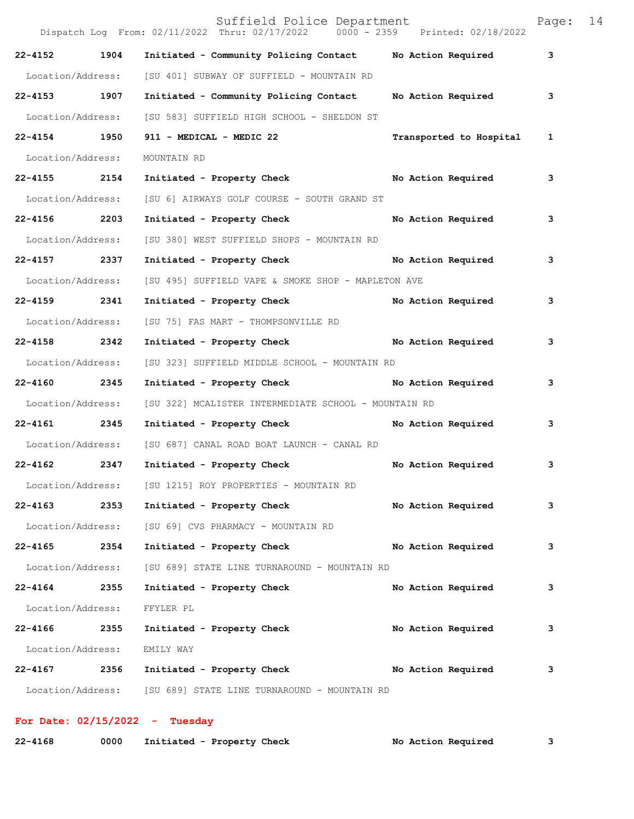|                   |      | Suffield Police Department<br>Dispatch Log From: 02/11/2022 Thru: 02/17/2022 0000 - 2359 Printed: 02/18/2022 |                         | Page: | 14 |
|-------------------|------|--------------------------------------------------------------------------------------------------------------|-------------------------|-------|----|
| 22-4152 1904      |      | Initiated - Community Policing Contact Mo Action Required                                                    |                         | 3     |    |
| Location/Address: |      | [SU 401] SUBWAY OF SUFFIELD - MOUNTAIN RD                                                                    |                         |       |    |
| 22-4153 1907      |      | Initiated - Community Policing Contact                                                                       | No Action Required      | 3     |    |
| Location/Address: |      | [SU 583] SUFFIELD HIGH SCHOOL - SHELDON ST                                                                   |                         |       |    |
| 22-4154 1950      |      | 911 - MEDICAL - MEDIC 22                                                                                     | Transported to Hospital | 1     |    |
| Location/Address: |      | MOUNTAIN RD                                                                                                  |                         |       |    |
| 22-4155 2154      |      | Initiated - Property Check No Action Required                                                                |                         | 3     |    |
| Location/Address: |      | [SU 6] AIRWAYS GOLF COURSE - SOUTH GRAND ST                                                                  |                         |       |    |
| 22-4156 2203      |      | Initiated - Property Check                                                                                   | No Action Required      | 3     |    |
| Location/Address: |      | [SU 380] WEST SUFFIELD SHOPS - MOUNTAIN RD                                                                   |                         |       |    |
| 22-4157 2337      |      | Initiated - Property Check                                                                                   | No Action Required      | 3     |    |
| Location/Address: |      | [SU 495] SUFFIELD VAPE & SMOKE SHOP - MAPLETON AVE                                                           |                         |       |    |
| 22-4159 2341      |      | Initiated - Property Check                                                                                   | No Action Required      | 3     |    |
| Location/Address: |      | [SU 75] FAS MART - THOMPSONVILLE RD                                                                          |                         |       |    |
| 22-4158 2342      |      | Initiated - Property Check No Action Required                                                                |                         | 3     |    |
| Location/Address: |      | [SU 323] SUFFIELD MIDDLE SCHOOL - MOUNTAIN RD                                                                |                         |       |    |
| 22-4160 2345      |      | Initiated - Property Check No Action Required                                                                |                         | 3     |    |
| Location/Address: |      | [SU 322] MCALISTER INTERMEDIATE SCHOOL - MOUNTAIN RD                                                         |                         |       |    |
| 22-4161 2345      |      | Initiated - Property Check                                                                                   | No Action Required      | 3     |    |
| Location/Address: |      | [SU 687] CANAL ROAD BOAT LAUNCH - CANAL RD                                                                   |                         |       |    |
| 22-4162 2347      |      | Initiated - Property Check                                                                                   | No Action Required      | 3     |    |
|                   |      | Location/Address: [SU 1215] ROY PROPERTIES - MOUNTAIN RD                                                     |                         |       |    |
| 22-4163 2353      |      | Initiated - Property Check                                                                                   | No Action Required      | 3     |    |
| Location/Address: |      | [SU 69] CVS PHARMACY - MOUNTAIN RD                                                                           |                         |       |    |
| 22-4165 2354      |      | Initiated - Property Check                                                                                   | No Action Required      | 3     |    |
| Location/Address: |      | [SU 689] STATE LINE TURNAROUND - MOUNTAIN RD                                                                 |                         |       |    |
| $22 - 4164$       | 2355 | Initiated - Property Check                                                                                   | No Action Required      | 3     |    |
| Location/Address: |      | FFYLER PL                                                                                                    |                         |       |    |
| 22-4166           | 2355 | Initiated - Property Check                                                                                   | No Action Required      | 3     |    |
| Location/Address: |      | EMILY WAY                                                                                                    |                         |       |    |
| 22-4167 2356      |      | Initiated - Property Check No Action Required                                                                |                         | 3     |    |
|                   |      | Location/Address: [SU 689] STATE LINE TURNAROUND - MOUNTAIN RD                                               |                         |       |    |

## **For Date: 02/15/2022 - Tuesday**

| $22 - 4168$ | 0000 | Initiated - Property Check | No Action Required |  |
|-------------|------|----------------------------|--------------------|--|
|-------------|------|----------------------------|--------------------|--|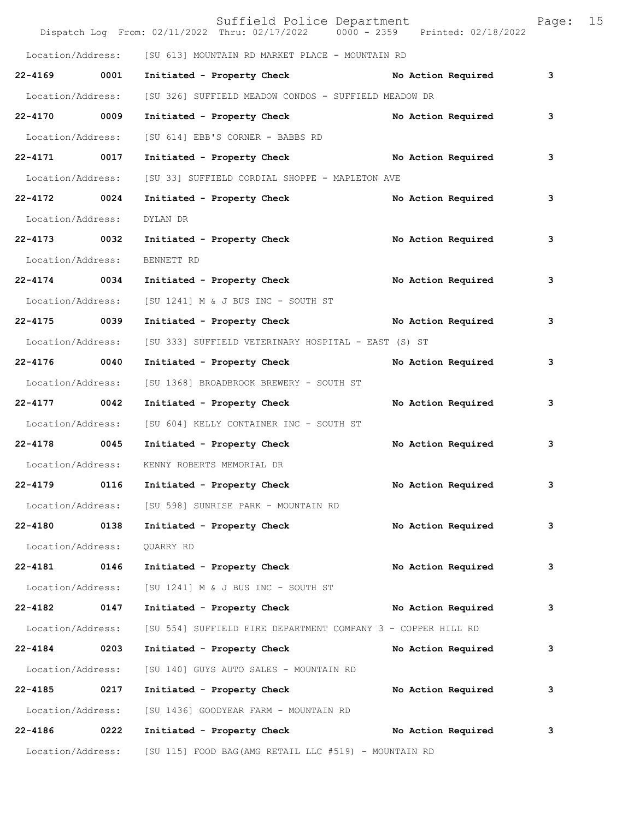|                   |      | Suffield Police Department<br>Dispatch Log From: 02/11/2022 Thru: 02/17/2022 0000 - 2359 Printed: 02/18/2022 |                    | Page: | 15 |
|-------------------|------|--------------------------------------------------------------------------------------------------------------|--------------------|-------|----|
|                   |      | Location/Address: [SU 613] MOUNTAIN RD MARKET PLACE - MOUNTAIN RD                                            |                    |       |    |
| 22-4169 0001      |      | Initiated - Property Check                                                                                   | No Action Required | 3     |    |
| Location/Address: |      | [SU 326] SUFFIELD MEADOW CONDOS - SUFFIELD MEADOW DR                                                         |                    |       |    |
| 22-4170 0009      |      | Initiated - Property Check                                                                                   | No Action Required | 3     |    |
| Location/Address: |      | [SU 614] EBB'S CORNER - BABBS RD                                                                             |                    |       |    |
| 22-4171 0017      |      | Initiated - Property Check No Action Required                                                                |                    | 3     |    |
| Location/Address: |      | [SU 33] SUFFIELD CORDIAL SHOPPE - MAPLETON AVE                                                               |                    |       |    |
| 22-4172 0024      |      | Initiated - Property Check                                                                                   | No Action Required | 3     |    |
| Location/Address: |      | DYLAN DR                                                                                                     |                    |       |    |
| $22 - 4173$       | 0032 | Initiated - Property Check                                                                                   | No Action Required | з     |    |
| Location/Address: |      | BENNETT RD                                                                                                   |                    |       |    |
| 22-4174 0034      |      | Initiated - Property Check                                                                                   | No Action Required | з     |    |
| Location/Address: |      | [SU 1241] M & J BUS INC - SOUTH ST                                                                           |                    |       |    |
| 22-4175 0039      |      | Initiated - Property Check No Action Required                                                                |                    | 3     |    |
| Location/Address: |      | [SU 333] SUFFIELD VETERINARY HOSPITAL - EAST (S) ST                                                          |                    |       |    |
| $22 - 4176$       | 0040 | Initiated - Property Check                                                                                   | No Action Required | з     |    |
| Location/Address: |      | [SU 1368] BROADBROOK BREWERY - SOUTH ST                                                                      |                    |       |    |
| 22-4177 0042      |      | Initiated - Property Check                                                                                   | No Action Required | 3     |    |
| Location/Address: |      | [SU 604] KELLY CONTAINER INC - SOUTH ST                                                                      |                    |       |    |
| 22-4178 0045      |      | Initiated - Property Check                                                                                   | No Action Required | 3     |    |
| Location/Address: |      | KENNY ROBERTS MEMORIAL DR                                                                                    |                    |       |    |
| 22-4179           | 0116 | Initiated - Property Check                                                                                   | No Action Required | 3     |    |
|                   |      | Location/Address: [SU 598] SUNRISE PARK - MOUNTAIN RD                                                        |                    |       |    |
| 22-4180 0138      |      | Initiated - Property Check                                                                                   | No Action Required | 3     |    |
| Location/Address: |      | QUARRY RD                                                                                                    |                    |       |    |
| 22-4181           | 0146 | Initiated - Property Check                                                                                   | No Action Required | 3     |    |
| Location/Address: |      | [SU 1241] M & J BUS INC - SOUTH ST                                                                           |                    |       |    |
| $22 - 4182$       | 0147 | Initiated - Property Check                                                                                   | No Action Required | 3     |    |
| Location/Address: |      | [SU 554] SUFFIELD FIRE DEPARTMENT COMPANY 3 - COPPER HILL RD                                                 |                    |       |    |
| 22-4184 0203      |      | Initiated - Property Check                                                                                   | No Action Required | 3     |    |
| Location/Address: |      | [SU 140] GUYS AUTO SALES - MOUNTAIN RD                                                                       |                    |       |    |
| $22 - 4185$       | 0217 | Initiated - Property Check                                                                                   | No Action Required | 3     |    |
| Location/Address: |      | [SU 1436] GOODYEAR FARM - MOUNTAIN RD                                                                        |                    |       |    |
| 22-4186           | 0222 | Initiated - Property Check                                                                                   | No Action Required | 3     |    |
| Location/Address: |      | [SU 115] FOOD BAG (AMG RETAIL LLC #519) - MOUNTAIN RD                                                        |                    |       |    |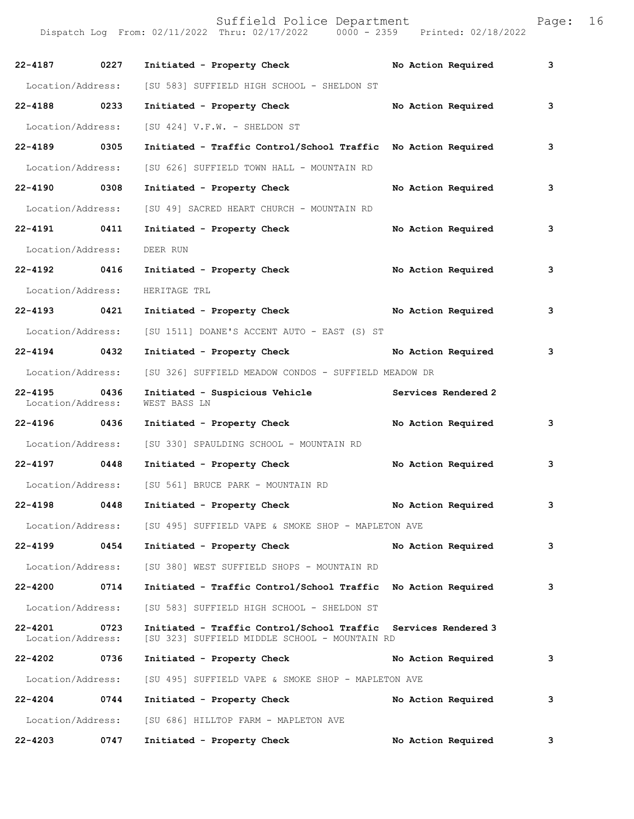| aɑe: |  | 16 |  |
|------|--|----|--|
|      |  |    |  |

| $22 - 4187$                      | 0227 | Initiated - Property Check                                                                                      | No Action Required  | 3 |
|----------------------------------|------|-----------------------------------------------------------------------------------------------------------------|---------------------|---|
| Location/Address:                |      | [SU 583] SUFFIELD HIGH SCHOOL - SHELDON ST                                                                      |                     |   |
| 22-4188 0233                     |      | Initiated - Property Check                                                                                      | No Action Required  | 3 |
| Location/Address:                |      | [SU 424] V.F.W. - SHELDON ST                                                                                    |                     |   |
| 22-4189 0305                     |      | Initiated - Traffic Control/School Traffic No Action Required                                                   |                     | 3 |
| Location/Address:                |      | [SU 626] SUFFIELD TOWN HALL - MOUNTAIN RD                                                                       |                     |   |
| 22-4190 0308                     |      | Initiated - Property Check                                                                                      | No Action Required  | 3 |
| Location/Address:                |      | [SU 49] SACRED HEART CHURCH - MOUNTAIN RD                                                                       |                     |   |
| 22-4191 0411                     |      | Initiated - Property Check                                                                                      | No Action Required  | 3 |
| Location/Address:                |      | DEER RUN                                                                                                        |                     |   |
| 22-4192 0416                     |      | Initiated - Property Check No Action Required                                                                   |                     | 3 |
| Location/Address:                |      | HERITAGE TRL                                                                                                    |                     |   |
| 22-4193 0421                     |      | Initiated - Property Check No Action Required                                                                   |                     | 3 |
| Location/Address:                |      | [SU 1511] DOANE'S ACCENT AUTO - EAST (S) ST                                                                     |                     |   |
| 22-4194 0432                     |      | Initiated - Property Check                                                                                      | No Action Required  | 3 |
| Location/Address:                |      | [SU 326] SUFFIELD MEADOW CONDOS - SUFFIELD MEADOW DR                                                            |                     |   |
| $22 - 4195$<br>Location/Address: | 0436 | Initiated - Suspicious Vehicle<br>WEST BASS LN                                                                  | Services Rendered 2 |   |
| 22-4196 0436                     |      | Initiated - Property Check No Action Required                                                                   |                     | 3 |
| Location/Address:                |      | [SU 330] SPAULDING SCHOOL - MOUNTAIN RD                                                                         |                     |   |
| 22-4197 0448                     |      | Initiated - Property Check                                                                                      | No Action Required  | 3 |
|                                  |      | Location/Address: [SU 561] BRUCE PARK - MOUNTAIN RD                                                             |                     |   |
|                                  |      | 22-4198 0448 Initiated - Property Check                                                                         | No Action Required  | 3 |
| Location/Address:                |      | [SU 495] SUFFIELD VAPE & SMOKE SHOP - MAPLETON AVE                                                              |                     |   |
| 22-4199 0454                     |      | Initiated - Property Check                                                                                      | No Action Required  | 3 |
| Location/Address:                |      | [SU 380] WEST SUFFIELD SHOPS - MOUNTAIN RD                                                                      |                     |   |
| 22-4200 0714                     |      | Initiated - Traffic Control/School Traffic No Action Required                                                   |                     | 3 |
| Location/Address:                |      | [SU 583] SUFFIELD HIGH SCHOOL - SHELDON ST                                                                      |                     |   |
| 22-4201<br>Location/Address:     | 0723 | Initiated - Traffic Control/School Traffic Services Rendered 3<br>[SU 323] SUFFIELD MIDDLE SCHOOL - MOUNTAIN RD |                     |   |
| 22-4202 0736                     |      | Initiated - Property Check                                                                                      | No Action Required  | 3 |
| Location/Address:                |      | [SU 495] SUFFIELD VAPE & SMOKE SHOP - MAPLETON AVE                                                              |                     |   |
| 22-4204 0744                     |      | Initiated - Property Check                                                                                      | No Action Required  | 3 |
| Location/Address:                |      | [SU 686] HILLTOP FARM - MAPLETON AVE                                                                            |                     |   |
| 22-4203                          | 0747 | Initiated - Property Check                                                                                      | No Action Required  | 3 |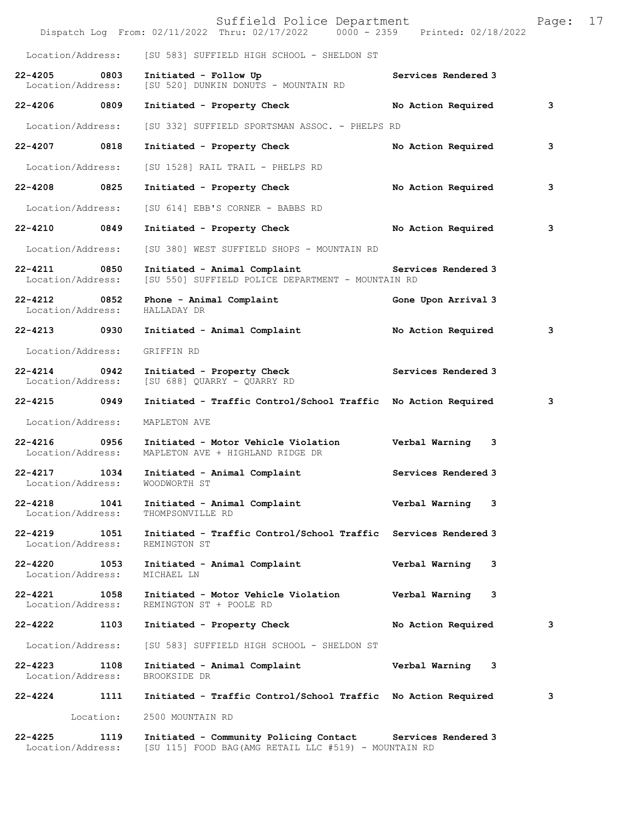|                                      |           | Suffield Police Department<br>Dispatch Log From: 02/11/2022 Thru: 02/17/2022 0000 - 2359 Printed: 02/18/2022 |                     | Page: | 17 |
|--------------------------------------|-----------|--------------------------------------------------------------------------------------------------------------|---------------------|-------|----|
| Location/Address:                    |           | [SU 583] SUFFIELD HIGH SCHOOL - SHELDON ST                                                                   |                     |       |    |
| $22 - 4205$<br>Location/Address:     | 0803      | Initiated - Follow Up<br>[SU 520] DUNKIN DONUTS - MOUNTAIN RD                                                | Services Rendered 3 |       |    |
| 22-4206 0809                         |           | Initiated - Property Check                                                                                   | No Action Required  | 3     |    |
| Location/Address:                    |           | [SU 332] SUFFIELD SPORTSMAN ASSOC. - PHELPS RD                                                               |                     |       |    |
| $22 - 4207$                          | 0818      | Initiated - Property Check                                                                                   | No Action Required  | 3     |    |
| Location/Address:                    |           | [SU 1528] RAIL TRAIL - PHELPS RD                                                                             |                     |       |    |
| 22-4208                              | 0825      | Initiated - Property Check                                                                                   | No Action Required  | 3     |    |
| Location/Address:                    |           | [SU 614] EBB'S CORNER - BABBS RD                                                                             |                     |       |    |
| 22-4210 0849                         |           | Initiated - Property Check                                                                                   | No Action Required  | 3     |    |
| Location/Address:                    |           | [SU 380] WEST SUFFIELD SHOPS - MOUNTAIN RD                                                                   |                     |       |    |
| 22-4211<br>0850<br>Location/Address: |           | Initiated - Animal Complaint<br>[SU 550] SUFFIELD POLICE DEPARTMENT - MOUNTAIN RD                            | Services Rendered 3 |       |    |
| 22-4212 0852<br>Location/Address:    |           | Phone - Animal Complaint<br>HALLADAY DR                                                                      | Gone Upon Arrival 3 |       |    |
| 22-4213 0930                         |           | Initiated - Animal Complaint                                                                                 | No Action Required  | 3     |    |
| Location/Address:                    |           | GRIFFIN RD                                                                                                   |                     |       |    |
| $22 - 4214$<br>Location/Address:     | 0942      | Initiated - Property Check<br>[SU 688] QUARRY - QUARRY RD                                                    | Services Rendered 3 |       |    |
| $22 - 4215$                          | 0949      | Initiated - Traffic Control/School Traffic No Action Required                                                |                     | 3     |    |
| Location/Address:                    |           | MAPLETON AVE                                                                                                 |                     |       |    |
| $22 - 4216$<br>Location/Address:     | 0956      | Initiated - Motor Vehicle Violation<br>MAPLETON AVE + HIGHLAND RIDGE DR                                      | Verbal Warning 3    |       |    |
| $22 - 4217$<br>Location/Address:     | 1034      | Initiated - Animal Complaint<br>WOODWORTH ST                                                                 | Services Rendered 3 |       |    |
| 22-4218<br>Location/Address:         | 1041      | Initiated - Animal Complaint<br>THOMPSONVILLE RD                                                             | Verbal Warning 3    |       |    |
| 22-4219 1051<br>Location/Address:    |           | Initiated - Traffic Control/School Traffic Services Rendered 3<br>REMINGTON ST                               |                     |       |    |
| 22-4220 1053<br>Location/Address:    |           | Initiated - Animal Complaint<br>MICHAEL LN                                                                   | Verbal Warning<br>3 |       |    |
| 22-4221 1058<br>Location/Address:    |           | Initiated - Motor Vehicle Violation<br>REMINGTON ST + POOLE RD                                               | Verbal Warning 3    |       |    |
| 22-4222                              | 1103      | Initiated - Property Check                                                                                   | No Action Required  | 3     |    |
| Location/Address:                    |           | [SU 583] SUFFIELD HIGH SCHOOL - SHELDON ST                                                                   |                     |       |    |
| 22-4223 1108<br>Location/Address:    |           | Initiated - Animal Complaint<br>BROOKSIDE DR                                                                 | Verbal Warning 3    |       |    |
| 22-4224                              | 1111      | Initiated - Traffic Control/School Traffic No Action Required                                                |                     | 3     |    |
|                                      | Location: | 2500 MOUNTAIN RD                                                                                             |                     |       |    |
| $22 - 4225$<br>Location/Address:     | 1119      | Initiated - Community Policing Contact<br>[SU 115] FOOD BAG (AMG RETAIL LLC #519) - MOUNTAIN RD              | Services Rendered 3 |       |    |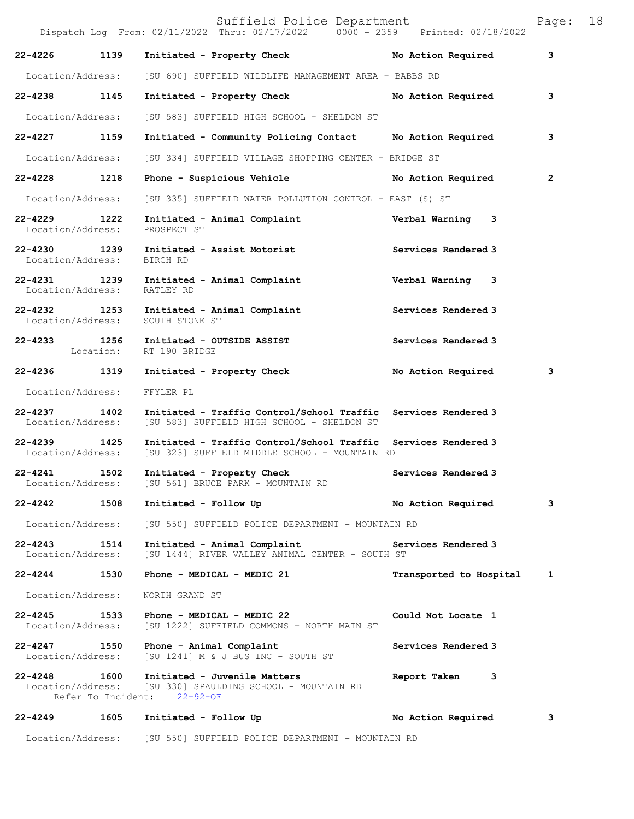|                                   |                            | Suffield Police Department<br>Dispatch Log From: 02/11/2022 Thru: 02/17/2022 0000 - 2359 Printed: 02/18/2022                      |                         | Page:          | 18 |
|-----------------------------------|----------------------------|-----------------------------------------------------------------------------------------------------------------------------------|-------------------------|----------------|----|
| $22 - 4226$                       | 1139                       | Initiated - Property Check No Action Required                                                                                     |                         | 3              |    |
|                                   |                            | Location/Address: [SU 690] SUFFIELD WILDLIFE MANAGEMENT AREA - BABBS RD                                                           |                         |                |    |
| 22-4238 1145                      |                            | Initiated - Property Check                                                                                                        | No Action Required      | 3              |    |
| Location/Address:                 |                            | [SU 583] SUFFIELD HIGH SCHOOL - SHELDON ST                                                                                        |                         |                |    |
| 22-4227 1159                      |                            | Initiated - Community Policing Contact No Action Required                                                                         |                         | 3              |    |
| Location/Address:                 |                            | [SU 334] SUFFIELD VILLAGE SHOPPING CENTER - BRIDGE ST                                                                             |                         |                |    |
| 22-4228 1218                      |                            |                                                                                                                                   |                         | $\overline{2}$ |    |
| Location/Address:                 |                            | [SU 335] SUFFIELD WATER POLLUTION CONTROL - EAST (S) ST                                                                           |                         |                |    |
| 22-4229 1222                      |                            | Initiated - Animal Complaint<br>Location/Address: PROSPECT ST                                                                     | Verbal Warning 3        |                |    |
| Location/Address: BIRCH RD        |                            | 22-4230 1239 Initiated - Assist Motorist                                                                                          | Services Rendered 3     |                |    |
| Location/Address:                 |                            | 22-4231 1239 Initiated - Animal Complaint Carl Verbal Warning 3<br>RATLEY RD                                                      |                         |                |    |
|                                   |                            | 22-4232 1253 Initiated - Animal Complaint Services Rendered 3<br>Location/Address: SOUTH STONE ST                                 |                         |                |    |
|                                   |                            | 22-4233 1256 Initiated - OUTSIDE ASSIST<br>Location: RT 190 BRIDGE                                                                | Services Rendered 3     |                |    |
|                                   |                            | 22-4236 1319 Initiated - Property Check                                                                                           | No Action Required      | 3              |    |
| Location/Address:                 |                            | FFYLER PL                                                                                                                         |                         |                |    |
| 22-4237 1402                      |                            | Initiated - Traffic Control/School Traffic Services Rendered 3<br>Location/Address: [SU 583] SUFFIELD HIGH SCHOOL - SHELDON ST    |                         |                |    |
| $22 - 4239$                       | 1425                       | Initiated - Traffic Control/School Traffic Services Rendered 3<br>Location/Address: [SU 323] SUFFIELD MIDDLE SCHOOL - MOUNTAIN RD |                         |                |    |
| 22-4241                           | 1502                       | Initiated - Property Check<br>Location/Address: [SU 561] BRUCE PARK - MOUNTAIN RD                                                 | Services Rendered 3     |                |    |
| $22 - 4242$                       | 1508                       | Initiated - Follow Up                                                                                                             | No Action Required      | 3              |    |
| Location/Address:                 |                            | [SU 550] SUFFIELD POLICE DEPARTMENT - MOUNTAIN RD                                                                                 |                         |                |    |
| 22-4243 1514<br>Location/Address: |                            | Initiated - Animal Complaint<br>[SU 1444] RIVER VALLEY ANIMAL CENTER - SOUTH ST                                                   | Services Rendered 3     |                |    |
| 22-4244 1530                      |                            | Phone - MEDICAL - MEDIC 21                                                                                                        | Transported to Hospital | 1              |    |
| Location/Address:                 |                            | NORTH GRAND ST                                                                                                                    |                         |                |    |
| 22-4245 1533<br>Location/Address: |                            | Phone - MEDICAL - MEDIC 22<br>[SU 1222] SUFFIELD COMMONS - NORTH MAIN ST                                                          | Could Not Locate 1      |                |    |
| 22-4247 1550<br>Location/Address: |                            | Phone - Animal Complaint<br>[SU 1241] M & J BUS INC - SOUTH ST                                                                    | Services Rendered 3     |                |    |
| $22 - 4248$<br>Location/Address:  | 1600<br>Refer To Incident: | Initiated - Juvenile Matters<br>[SU 330] SPAULDING SCHOOL - MOUNTAIN RD<br>$22 - 92 - OF$                                         | Report Taken<br>3       |                |    |
| 22-4249                           | 1605                       | Initiated - Follow Up                                                                                                             | No Action Required      | з              |    |
|                                   |                            | Location/Address: [SU 550] SUFFIELD POLICE DEPARTMENT - MOUNTAIN RD                                                               |                         |                |    |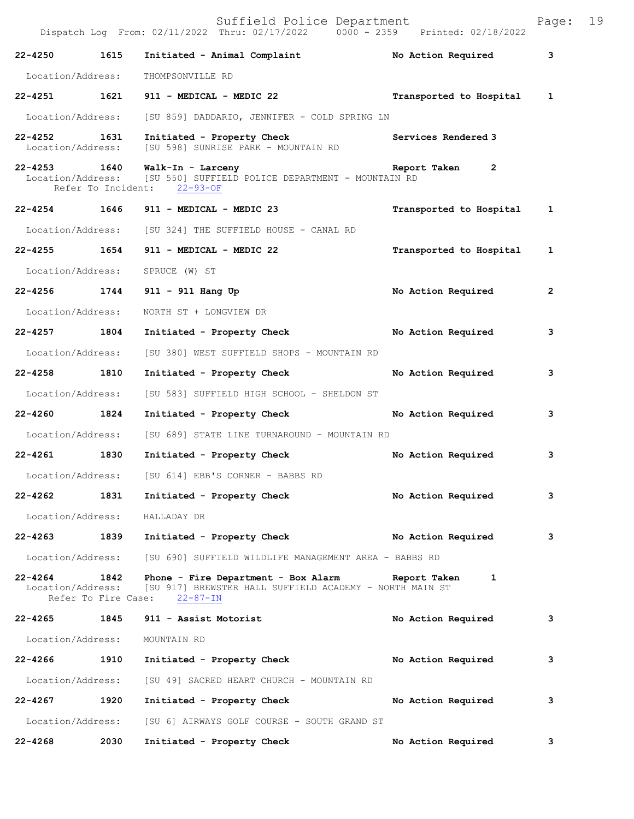|                   |      | Suffield Police Department<br>Dispatch Log From: 02/11/2022 Thru: 02/17/2022 0000 - 2359 Printed: 02/18/2022                                                    |                           | Page:        | 19 |
|-------------------|------|-----------------------------------------------------------------------------------------------------------------------------------------------------------------|---------------------------|--------------|----|
| 22-4250 1615      |      | Initiated - Animal Complaint Mo Action Required                                                                                                                 |                           | 3            |    |
| Location/Address: |      | THOMPSONVILLE RD                                                                                                                                                |                           |              |    |
|                   |      | 22-4251 1621 911 - MEDICAL - MEDIC 22                                                                                                                           | Transported to Hospital 1 |              |    |
|                   |      | Location/Address: [SU 859] DADDARIO, JENNIFER - COLD SPRING LN                                                                                                  |                           |              |    |
| 22-4252 1631      |      | Initiated - Property Check<br>Location/Address: [SU 598] SUNRISE PARK - MOUNTAIN RD                                                                             | Services Rendered 3       |              |    |
|                   |      | 22-4253 1640 Walk-In - Larceny<br>Location/Address: [SU 550] SUFFIELD POLICE DEPARTMENT - MOUNTAIN RD<br>Refer To Incident: 22-93-OF                            | Report Taken 2            |              |    |
|                   |      | 22-4254 1646 911 - MEDICAL - MEDIC 23                                                                                                                           | Transported to Hospital 1 |              |    |
|                   |      | Location/Address: [SU 324] THE SUFFIELD HOUSE - CANAL RD                                                                                                        |                           |              |    |
|                   |      | 22-4255 1654 911 - MEDICAL - MEDIC 22                                                                                                                           | Transported to Hospital   | 1            |    |
|                   |      | Location/Address: SPRUCE (W) ST                                                                                                                                 |                           |              |    |
|                   |      | 22-4256 1744 911 - 911 Hang Up                                                                                                                                  | No Action Required        | $\mathbf{2}$ |    |
| Location/Address: |      | NORTH ST + LONGVIEW DR                                                                                                                                          |                           |              |    |
| 22-4257 1804      |      | Initiated - Property Check                                                                                                                                      | No Action Required        | 3            |    |
| Location/Address: |      | [SU 380] WEST SUFFIELD SHOPS - MOUNTAIN RD                                                                                                                      |                           |              |    |
| 22-4258 1810      |      | Initiated - Property Check                                                                                                                                      | No Action Required        | 3            |    |
| Location/Address: |      | [SU 583] SUFFIELD HIGH SCHOOL - SHELDON ST                                                                                                                      |                           |              |    |
| 22-4260 1824      |      | Initiated - Property Check                                                                                                                                      | No Action Required        | 3            |    |
|                   |      | Location/Address: [SU 689] STATE LINE TURNAROUND - MOUNTAIN RD                                                                                                  |                           |              |    |
|                   |      | 22-4261 1830 Initiated - Property Check                                                                                                                         | No Action Required        | 3            |    |
|                   |      | Location/Address: [SU 614] EBB'S CORNER - BABBS RD                                                                                                              |                           |              |    |
| 22-4262 1831      |      | Initiated - Property Check                                                                                                                                      | No Action Required        | 3            |    |
|                   |      | Location/Address: HALLADAY DR                                                                                                                                   |                           |              |    |
|                   |      | 22-4263 1839 Initiated - Property Check No Action Required                                                                                                      |                           | 3            |    |
|                   |      | Location/Address: [SU 690] SUFFIELD WILDLIFE MANAGEMENT AREA - BABBS RD                                                                                         |                           |              |    |
| 22-4264 1842      |      | Phone - Fire Department - Box Alarm Report Taken 1<br>Location/Address: [SU 917] BREWSTER HALL SUFFIELD ACADEMY - NORTH MAIN ST<br>Refer To Fire Case: 22-87-IN |                           |              |    |
|                   |      | 22-4265 1845 911 - Assist Motorist                                                                                                                              | No Action Required        | 3            |    |
| Location/Address: |      | MOUNTAIN RD                                                                                                                                                     |                           |              |    |
| 22-4266 1910      |      | Initiated - Property Check No Action Required                                                                                                                   |                           | 3            |    |
|                   |      | Location/Address: [SU 49] SACRED HEART CHURCH - MOUNTAIN RD                                                                                                     |                           |              |    |
| 22-4267           | 1920 | Initiated - Property Check                                                                                                                                      | No Action Required        | 3            |    |
| Location/Address: |      | [SU 6] AIRWAYS GOLF COURSE - SOUTH GRAND ST                                                                                                                     |                           |              |    |
| $22 - 4268$       | 2030 | Initiated - Property Check                                                                                                                                      | No Action Required        | 3            |    |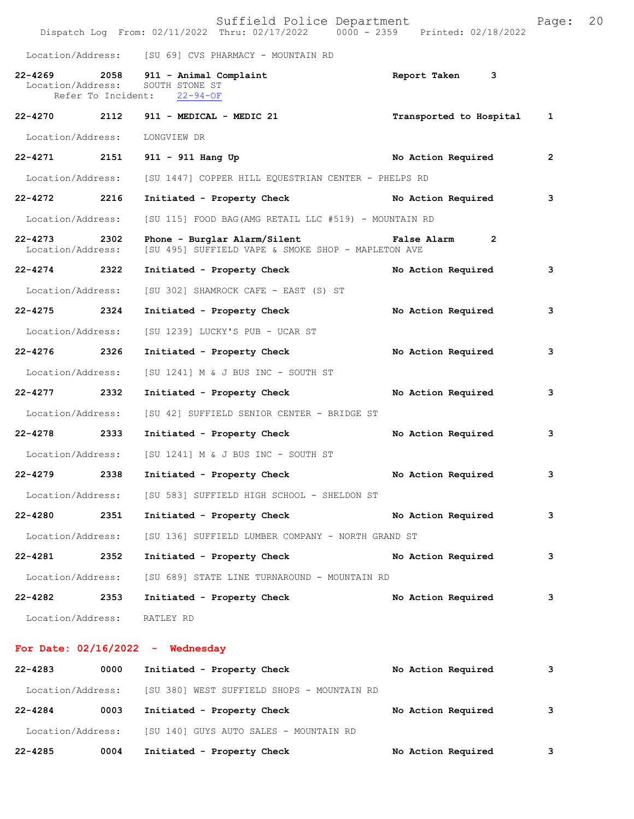|                                   |                    | Suffield Police Department<br>Dispatch Log From: 02/11/2022 Thru: 02/17/2022 0000 - 2359 Printed: 02/18/2022 |                    | Page:        | 20 |
|-----------------------------------|--------------------|--------------------------------------------------------------------------------------------------------------|--------------------|--------------|----|
|                                   |                    | Location/Address: [SU 69] CVS PHARMACY - MOUNTAIN RD                                                         |                    |              |    |
| $22 - 4269$<br>Location/Address:  | Refer To Incident: | 2058 911 - Animal Complaint<br>SOUTH STONE ST<br>$22 - 94 - OF$                                              | Report Taken 3     |              |    |
|                                   |                    | 22-4270 2112 911 - MEDICAL - MEDIC 21 Transported to Hospital                                                |                    | 1            |    |
| Location/Address:                 |                    | LONGVIEW DR                                                                                                  |                    |              |    |
|                                   |                    | 22-4271 2151 911 - 911 Hang Up                                                                               | No Action Required | $\mathbf{2}$ |    |
| Location/Address:                 |                    | [SU 1447] COPPER HILL EQUESTRIAN CENTER - PHELPS RD                                                          |                    |              |    |
| 22-4272 2216                      |                    | Initiated - Property Check No Action Required                                                                |                    | 3            |    |
| Location/Address:                 |                    | [SU 115] FOOD BAG(AMG RETAIL LLC #519) - MOUNTAIN RD                                                         |                    |              |    |
| 22-4273 2302<br>Location/Address: |                    | Phone - Burglar Alarm/Silent Talse Alarm 2<br>[SU 495] SUFFIELD VAPE & SMOKE SHOP - MAPLETON AVE             |                    |              |    |
| 22-4274 2322                      |                    | Initiated - Property Check                                                                                   | No Action Required | 3            |    |
| Location/Address:                 |                    | [SU 302] SHAMROCK CAFE - EAST (S) ST                                                                         |                    |              |    |
| 22-4275 2324                      |                    | Initiated - Property Check                                                                                   | No Action Required | 3            |    |
| Location/Address:                 |                    | [SU 1239] LUCKY'S PUB - UCAR ST                                                                              |                    |              |    |
| 22-4276 2326                      |                    | Initiated - Property Check                                                                                   | No Action Required | 3            |    |
| Location/Address:                 |                    | [SU 1241] M & J BUS INC - SOUTH ST                                                                           |                    |              |    |
| 22-4277 2332                      |                    | Initiated - Property Check                                                                                   | No Action Required | 3            |    |
| Location/Address:                 |                    | [SU 42] SUFFIELD SENIOR CENTER - BRIDGE ST                                                                   |                    |              |    |
| 22-4278 2333                      |                    | Initiated - Property Check                                                                                   | No Action Required | 3            |    |
| Location/Address:                 |                    | [SU 1241] M & J BUS INC - SOUTH ST                                                                           |                    |              |    |
| 22-4279                           | 2338               | Initiated - Property Check                                                                                   | No Action Required | 3            |    |
|                                   |                    | Location/Address: [SU 583] SUFFIELD HIGH SCHOOL - SHELDON ST                                                 |                    |              |    |
| 22-4280                           | 2351               | Initiated - Property Check                                                                                   | No Action Required | 3            |    |
| Location/Address:                 |                    | [SU 136] SUFFIELD LUMBER COMPANY - NORTH GRAND ST                                                            |                    |              |    |
| $22 - 4281$                       | 2352               | Initiated - Property Check                                                                                   | No Action Required | 3            |    |
| Location/Address:                 |                    | [SU 689] STATE LINE TURNAROUND - MOUNTAIN RD                                                                 |                    |              |    |
| 22-4282 2353                      |                    | Initiated - Property Check                                                                                   | No Action Required | 3            |    |
| Location/Address: RATLEY RD       |                    |                                                                                                              |                    |              |    |
|                                   |                    | For Date: $02/16/2022 -$ Wednesday                                                                           |                    |              |    |
| 22-4283                           | 0000               | Initiated - Property Check                                                                                   | No Action Required | 3            |    |
|                                   |                    | Location/Address: [SU 380] WEST SUFFIELD SHOPS - MOUNTAIN RD                                                 |                    |              |    |
| 22-4284 0003                      |                    | Initiated - Property Check                                                                                   | No Action Required | 3            |    |
|                                   |                    | Location/Address: [SU 140] GUYS AUTO SALES - MOUNTAIN RD                                                     |                    |              |    |

**22-4285 0004 Initiated - Property Check No Action Required 3**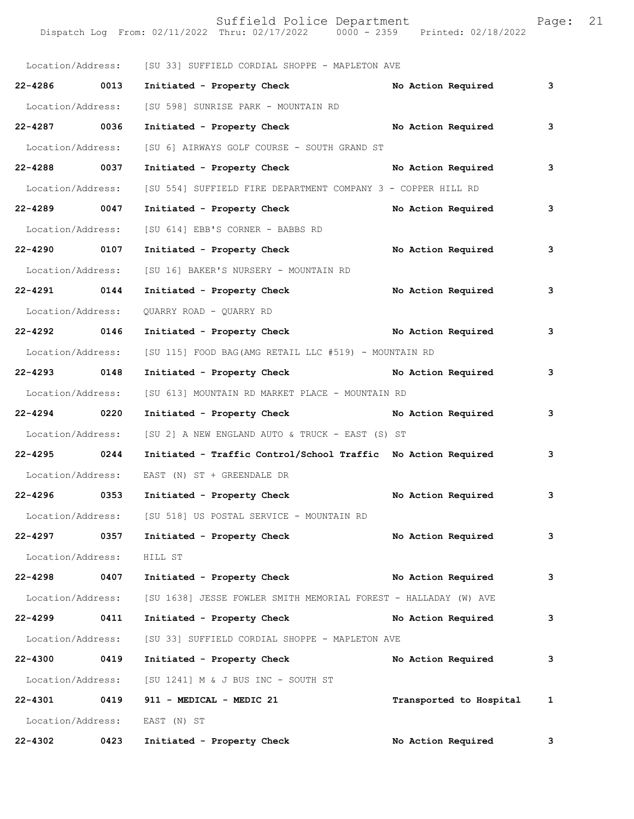|                           |      | Location/Address: [SU 33] SUFFIELD CORDIAL SHOPPE - MAPLETON AVE                  |                           |   |
|---------------------------|------|-----------------------------------------------------------------------------------|---------------------------|---|
| 22-4286 0013              |      | Initiated - Property Check No Action Required                                     |                           | 3 |
| Location/Address:         |      | [SU 598] SUNRISE PARK - MOUNTAIN RD                                               |                           |   |
| 22-4287 0036              |      | Initiated - Property Check No Action Required                                     |                           | 3 |
| Location/Address:         |      | [SU 6] AIRWAYS GOLF COURSE - SOUTH GRAND ST                                       |                           |   |
| 22-4288 0037              |      | Initiated - Property Check No Action Required                                     |                           | 3 |
| Location/Address:         |      | [SU 554] SUFFIELD FIRE DEPARTMENT COMPANY 3 - COPPER HILL RD                      |                           |   |
| 22-4289 0047              |      | Initiated - Property Check No Action Required                                     |                           | 3 |
| Location/Address:         |      | [SU 614] EBB'S CORNER - BABBS RD                                                  |                           |   |
| 22-4290 0107              |      | Initiated - Property Check No Action Required                                     |                           | 3 |
| Location/Address:         |      | [SU 16] BAKER'S NURSERY - MOUNTAIN RD                                             |                           |   |
| 22-4291 0144              |      | Initiated - Property Check                                                        | No Action Required        | 3 |
| Location/Address:         |      | QUARRY ROAD - QUARRY RD                                                           |                           |   |
| 22-4292 0146              |      | Initiated - Property Check No Action Required                                     |                           | 3 |
| Location/Address:         |      | [SU 115] FOOD BAG(AMG RETAIL LLC #519) - MOUNTAIN RD                              |                           |   |
| 22-4293 0148              |      | Initiated - Property Check No Action Required                                     |                           | 3 |
| Location/Address:         |      | [SU 613] MOUNTAIN RD MARKET PLACE - MOUNTAIN RD                                   |                           |   |
| 22-4294 0220              |      | Initiated - Property Check No Action Required                                     |                           | 3 |
| Location/Address:         |      | [SU 2] A NEW ENGLAND AUTO & TRUCK - EAST (S) ST                                   |                           |   |
| 22-4295 0244              |      | Initiated - Traffic Control/School Traffic No Action Required                     |                           | 3 |
| Location/Address:         |      | EAST (N) ST + GREENDALE DR                                                        |                           |   |
| 22-4296 0353              |      | Initiated - Property Check                                                        | No Action Required        | 3 |
| Location/Address:         |      | [SU 518] US POSTAL SERVICE - MOUNTAIN RD                                          |                           |   |
| 22-4297 0357              |      | Initiated - Property Check                                                        | No Action Required        | 3 |
| Location/Address: HILL ST |      |                                                                                   |                           |   |
| 22-4298 0407              |      | Initiated - Property Check                                                        | No Action Required        | 3 |
|                           |      | Location/Address: [SU 1638] JESSE FOWLER SMITH MEMORIAL FOREST - HALLADAY (W) AVE |                           |   |
| 22-4299 0411              |      | Initiated - Property Check                                                        | No Action Required        | 3 |
| Location/Address:         |      | [SU 33] SUFFIELD CORDIAL SHOPPE - MAPLETON AVE                                    |                           |   |
| $22 - 4300$               | 0419 | Initiated - Property Check                                                        | No Action Required        | 3 |
|                           |      | Location/Address: [SU 1241] M & J BUS INC - SOUTH ST                              |                           |   |
| 22-4301 0419              |      | 911 - MEDICAL - MEDIC 21                                                          | Transported to Hospital 1 |   |
|                           |      | Location/Address: EAST (N) ST                                                     |                           |   |
| $22 - 4302$               | 0423 | Initiated - Property Check                                                        | No Action Required        | 3 |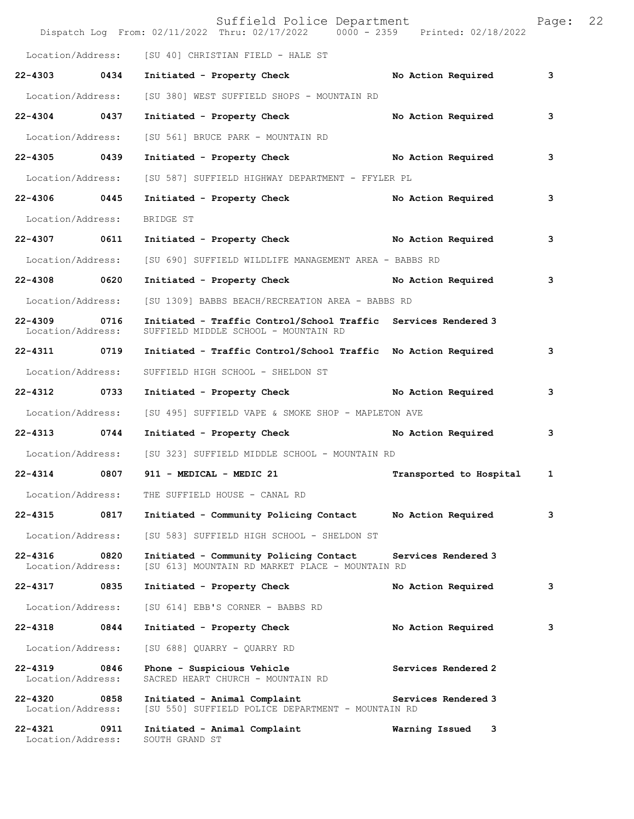|                                   |      | Suffield Police Department<br>Dispatch Log From: 02/11/2022 Thru: 02/17/2022 0000 - 2359 Printed: 02/18/2022 |                         | Page: | 22 |
|-----------------------------------|------|--------------------------------------------------------------------------------------------------------------|-------------------------|-------|----|
|                                   |      | Location/Address: [SU 40] CHRISTIAN FIELD - HALE ST                                                          |                         |       |    |
| 22-4303 0434                      |      | Initiated - Property Check                                                                                   | No Action Required      | 3     |    |
| Location/Address:                 |      | [SU 380] WEST SUFFIELD SHOPS - MOUNTAIN RD                                                                   |                         |       |    |
| 22-4304 0437                      |      | Initiated - Property Check                                                                                   | No Action Required      | 3     |    |
| Location/Address:                 |      | [SU 561] BRUCE PARK - MOUNTAIN RD                                                                            |                         |       |    |
| 22-4305 0439                      |      | Initiated - Property Check No Action Required                                                                |                         | 3     |    |
| Location/Address:                 |      | [SU 587] SUFFIELD HIGHWAY DEPARTMENT - FFYLER PL                                                             |                         |       |    |
| 22-4306 0445                      |      | Initiated - Property Check No Action Required                                                                |                         | 3     |    |
| Location/Address:                 |      | BRIDGE ST                                                                                                    |                         |       |    |
| 22-4307 0611                      |      | Initiated - Property Check No Action Required                                                                |                         | 3     |    |
| Location/Address:                 |      | [SU 690] SUFFIELD WILDLIFE MANAGEMENT AREA - BABBS RD                                                        |                         |       |    |
| 22-4308 0620                      |      | Initiated - Property Check No Action Required                                                                |                         | 3     |    |
| Location/Address:                 |      | [SU 1309] BABBS BEACH/RECREATION AREA - BABBS RD                                                             |                         |       |    |
| 22-4309<br>Location/Address:      | 0716 | Initiated - Traffic Control/School Traffic Services Rendered 3<br>SUFFIELD MIDDLE SCHOOL - MOUNTAIN RD       |                         |       |    |
| 22-4311 0719                      |      | Initiated - Traffic Control/School Traffic No Action Required                                                |                         | 3     |    |
| Location/Address:                 |      | SUFFIELD HIGH SCHOOL - SHELDON ST                                                                            |                         |       |    |
| 22-4312 0733                      |      | Initiated - Property Check No Action Required                                                                |                         | 3     |    |
| Location/Address:                 |      | [SU 495] SUFFIELD VAPE & SMOKE SHOP - MAPLETON AVE                                                           |                         |       |    |
| 22-4313 0744                      |      | Initiated - Property Check No Action Required                                                                |                         | 3     |    |
| Location/Address:                 |      | [SU 323] SUFFIELD MIDDLE SCHOOL - MOUNTAIN RD                                                                |                         |       |    |
| 22-4314                           | 0807 | 911 - MEDICAL - MEDIC 21                                                                                     | Transported to Hospital | 1     |    |
| Location/Address:                 |      | THE SUFFIELD HOUSE - CANAL RD                                                                                |                         |       |    |
| 22-4315                           | 0817 | Initiated - Community Policing Contact                                                                       | No Action Required      | 3     |    |
| Location/Address:                 |      | [SU 583] SUFFIELD HIGH SCHOOL - SHELDON ST                                                                   |                         |       |    |
| 22-4316<br>Location/Address:      | 0820 | Initiated - Community Policing Contact<br>[SU 613] MOUNTAIN RD MARKET PLACE - MOUNTAIN RD                    | Services Rendered 3     |       |    |
| 22-4317 0835                      |      | Initiated - Property Check                                                                                   | No Action Required      | 3     |    |
| Location/Address:                 |      | [SU 614] EBB'S CORNER - BABBS RD                                                                             |                         |       |    |
| 22-4318                           | 0844 | Initiated - Property Check                                                                                   | No Action Required      | 3     |    |
| Location/Address:                 |      | [SU 688] QUARRY - QUARRY RD                                                                                  |                         |       |    |
| 22-4319 0846<br>Location/Address: |      | Phone - Suspicious Vehicle<br>SACRED HEART CHURCH - MOUNTAIN RD                                              | Services Rendered 2     |       |    |
| 22-4320<br>Location/Address:      | 0858 | Initiated - Animal Complaint<br>[SU 550] SUFFIELD POLICE DEPARTMENT - MOUNTAIN RD                            | Services Rendered 3     |       |    |
| 22-4321 0911<br>Location/Address: |      | Initiated - Animal Complaint<br>SOUTH GRAND ST                                                               | Warning Issued 3        |       |    |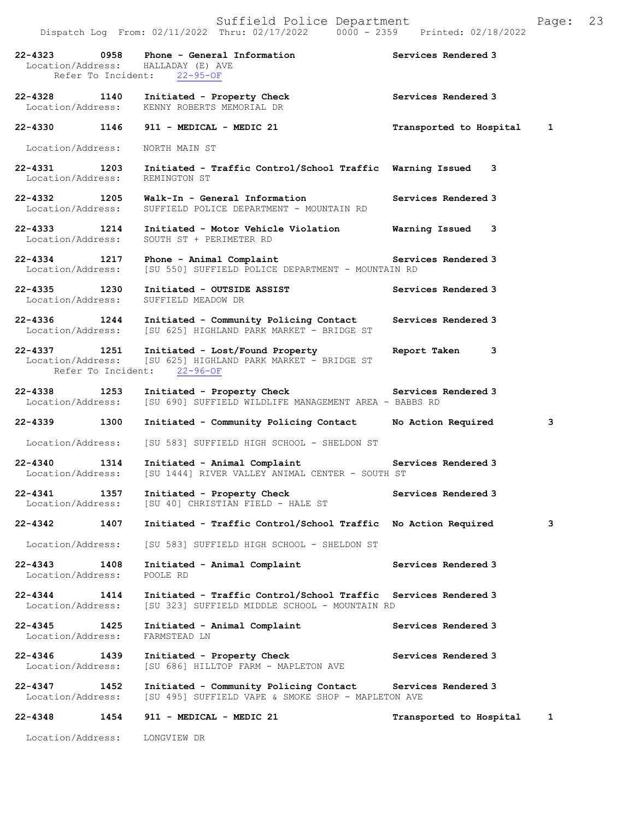|                                          | 22-4323 0958 Phone - General Information<br>Location/Address: HALLADAY (E) AVE<br>Refer To Incident: 22-95-OF        | Services Rendered 3       |   |
|------------------------------------------|----------------------------------------------------------------------------------------------------------------------|---------------------------|---|
|                                          | 22-4328 1140 Initiated - Property Check<br>Location/Address: KENNY ROBERTS MEMORIAL DR                               | Services Rendered 3       |   |
|                                          | 22-4330 1146 911 - MEDICAL - MEDIC 21                                                                                | Transported to Hospital 1 |   |
| Location/Address:                        | NORTH MAIN ST                                                                                                        |                           |   |
| 22-4331 1203<br>Location/Address:        | Initiated - Traffic Control/School Traffic Warning Issued 3<br>REMINGTON ST                                          |                           |   |
| 22-4332 1205<br>Location/Address:        | Walk-In - General Information<br>SUFFIELD POLICE DEPARTMENT - MOUNTAIN RD                                            | Services Rendered 3       |   |
| 22-4333 1214<br>Location/Address:        | Initiated - Motor Vehicle Violation Marning Issued 3<br>SOUTH ST + PERIMETER RD                                      |                           |   |
| 22-4334 1217<br>Location/Address:        | Phone - Animal Complaint<br>[SU 550] SUFFIELD POLICE DEPARTMENT - MOUNTAIN RD                                        | Services Rendered 3       |   |
| 22-4335 1230<br>Location/Address:        | Initiated - OUTSIDE ASSIST<br>SUFFIELD MEADOW DR                                                                     | Services Rendered 3       |   |
| 22-4336 1244<br>Location/Address:        | Initiated - Community Policing Contact<br>[SU 625] HIGHLAND PARK MARKET - BRIDGE ST                                  | Services Rendered 3       |   |
| 22-4337 1251<br>Location/Address:        | Initiated - Lost/Found Property<br>[SU 625] HIGHLAND PARK MARKET - BRIDGE ST<br>Refer To Incident: 22-96-OF          | Report Taken 3            |   |
| 22-4338 1253<br>Location/Address:        | Initiated - Property Check Services Rendered 3<br>[SU 690] SUFFIELD WILDLIFE MANAGEMENT AREA - BABBS RD              |                           |   |
| 22-4339 1300                             | Initiated - Community Policing Contact No Action Required                                                            |                           | 3 |
| Location/Address:                        | [SU 583] SUFFIELD HIGH SCHOOL - SHELDON ST                                                                           |                           |   |
| 22-4340 1314<br>Location/Address:        | Initiated - Animal Complaint <b>Example 2</b> Services Rendered 3<br>[SU 1444] RIVER VALLEY ANIMAL CENTER - SOUTH ST |                           |   |
| 1357<br>22-4341                          | Initiated - Property Check<br>Location/Address: [SU 40] CHRISTIAN FIELD - HALE ST                                    | Services Rendered 3       |   |
| 22-4342<br>1407                          | Initiated - Traffic Control/School Traffic No Action Required                                                        |                           | 3 |
| Location/Address:                        | [SU 583] SUFFIELD HIGH SCHOOL - SHELDON ST                                                                           |                           |   |
| 22-4343<br>1408<br>Location/Address:     | Initiated - Animal Complaint<br>POOLE RD                                                                             | Services Rendered 3       |   |
| $22 - 4344$<br>1414<br>Location/Address: | Initiated - Traffic Control/School Traffic Services Rendered 3<br>[SU 323] SUFFIELD MIDDLE SCHOOL - MOUNTAIN RD      |                           |   |
| 22-4345<br>1425<br>Location/Address:     | Initiated - Animal Complaint<br>FARMSTEAD LN                                                                         | Services Rendered 3       |   |
| $22 - 4346$<br>1439<br>Location/Address: | Initiated - Property Check<br>[SU 686] HILLTOP FARM - MAPLETON AVE                                                   | Services Rendered 3       |   |
| $22 - 4347$<br>1452<br>Location/Address: | Initiated - Community Policing Contact Services Rendered 3<br>[SU 495] SUFFIELD VAPE & SMOKE SHOP - MAPLETON AVE     |                           |   |
| 22-4348<br>1454                          | 911 - MEDICAL - MEDIC 21                                                                                             | Transported to Hospital   | 1 |
| Location/Address:                        | LONGVIEW DR                                                                                                          |                           |   |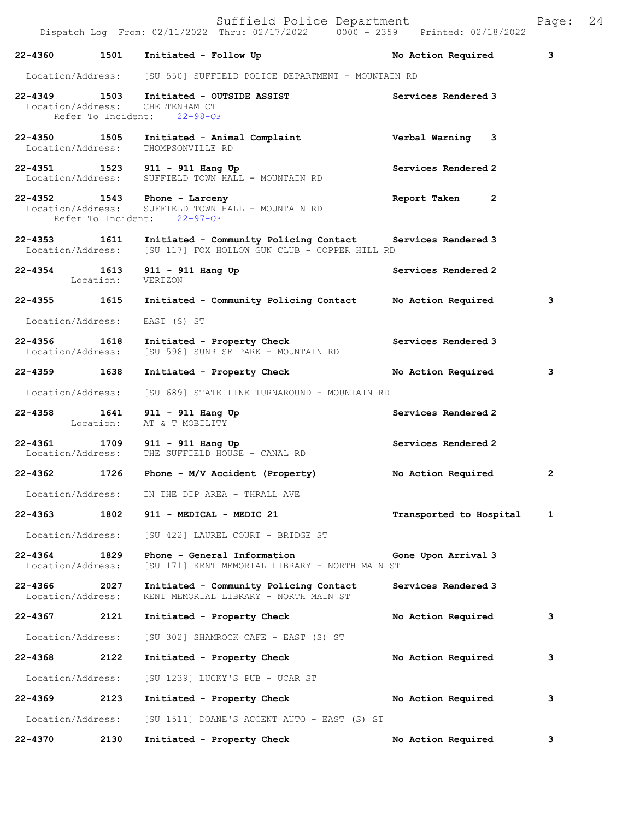|                                   |           | 22-4360 1501 Initiated - Follow Up                                                                          | No Action Required             | 3            |
|-----------------------------------|-----------|-------------------------------------------------------------------------------------------------------------|--------------------------------|--------------|
| Location/Address:                 |           | [SU 550] SUFFIELD POLICE DEPARTMENT - MOUNTAIN RD                                                           |                                |              |
| 22-4349 1503                      |           | Initiated - OUTSIDE ASSIST<br>Location/Address: CHELTENHAM CT<br>Refer To Incident: 22-98-OF                | Services Rendered 3            |              |
| 22-4350 1505<br>Location/Address: |           | Initiated - Animal Complaint<br>THOMPSONVILLE RD                                                            | Verbal Warning 3               |              |
|                                   |           | 22-4351 1523 911 - 911 Hang Up<br>Location/Address: SUFFIELD TOWN HALL - MOUNTAIN RD                        | Services Rendered 2            |              |
| Location/Address:                 |           | 22-4352 1543 Phone - Larceny<br>SUFFIELD TOWN HALL - MOUNTAIN RD<br>Refer To Incident: 22-97-OF             | $\overline{2}$<br>Report Taken |              |
| 22-4353 1611<br>Location/Address: |           | Initiated - Community Policing Contact Services Rendered 3<br>[SU 117] FOX HOLLOW GUN CLUB - COPPER HILL RD |                                |              |
|                                   | Location: | 22-4354 1613 911 - 911 Hang Up<br>VERIZON                                                                   | Services Rendered 2            |              |
| 22-4355 1615                      |           | Initiated - Community Policing Contact                                                                      | No Action Required             | 3            |
| Location/Address:                 |           | EAST (S) ST                                                                                                 |                                |              |
| 22-4356 1618<br>Location/Address: |           | Initiated - Property Check<br>[SU 598] SUNRISE PARK - MOUNTAIN RD                                           | Services Rendered 3            |              |
| 22-4359 1638                      |           | Initiated - Property Check                                                                                  | No Action Required             | 3            |
| Location/Address:                 |           | [SU 689] STATE LINE TURNAROUND - MOUNTAIN RD                                                                |                                |              |
| 22-4358<br>Location:              | 1641      | 911 - 911 Hang Up<br>AT & T MOBILITY                                                                        | Services Rendered 2            |              |
| 22-4361 1709<br>Location/Address: |           | 911 - 911 Hang Up<br>THE SUFFIELD HOUSE - CANAL RD                                                          | Services Rendered 2            |              |
|                                   |           | 22-4362 1726 Phone - M/V Accident (Property)                                                                | No Action Required             | $\mathbf{2}$ |
| Location/Address:                 |           | IN THE DIP AREA - THRALL AVE                                                                                |                                |              |
| 22-4363                           | 1802      | 911 - MEDICAL - MEDIC 21                                                                                    | Transported to Hospital        | $\mathbf{1}$ |
| Location/Address:                 |           | [SU 422] LAUREL COURT - BRIDGE ST                                                                           |                                |              |
| 22-4364<br>Location/Address:      | 1829      | Phone - General Information<br>[SU 171] KENT MEMORIAL LIBRARY - NORTH MAIN ST                               | Gone Upon Arrival 3            |              |
| 22-4366<br>Location/Address:      | 2027      | Initiated - Community Policing Contact<br>KENT MEMORIAL LIBRARY - NORTH MAIN ST                             | Services Rendered 3            |              |
| 22-4367                           | 2121      | Initiated - Property Check                                                                                  | No Action Required             | 3            |
| Location/Address:                 |           | [SU 302] SHAMROCK CAFE - EAST (S) ST                                                                        |                                |              |
| 22-4368                           | 2122      | Initiated - Property Check                                                                                  | No Action Required             | 3            |
| Location/Address:                 |           | [SU 1239] LUCKY'S PUB - UCAR ST                                                                             |                                |              |
| 22-4369                           | 2123      | Initiated - Property Check                                                                                  | No Action Required             | 3            |
| Location/Address:                 |           | [SU 1511] DOANE'S ACCENT AUTO - EAST (S) ST                                                                 |                                |              |
| 22-4370                           | 2130      | Initiated - Property Check                                                                                  | No Action Required             | 3            |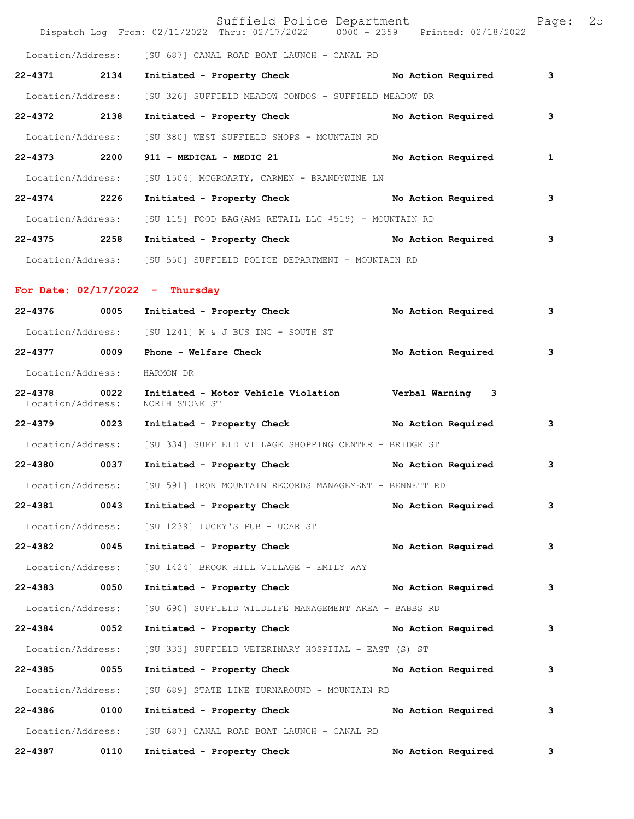|                                  |      | Suffield Police Department<br>Dispatch Log From: 02/11/2022 Thru: 02/17/2022 0000 - 2359 Printed: 02/18/2022 |                    | Page: | 25 |
|----------------------------------|------|--------------------------------------------------------------------------------------------------------------|--------------------|-------|----|
|                                  |      | Location/Address: [SU 687] CANAL ROAD BOAT LAUNCH - CANAL RD                                                 |                    |       |    |
| 22-4371 2134                     |      | Initiated - Property Check No Action Required                                                                |                    | 3     |    |
| Location/Address:                |      | [SU 326] SUFFIELD MEADOW CONDOS - SUFFIELD MEADOW DR                                                         |                    |       |    |
| 22-4372 2138                     |      | Initiated - Property Check                                                                                   | No Action Required | з     |    |
| Location/Address:                |      | [SU 380] WEST SUFFIELD SHOPS - MOUNTAIN RD                                                                   |                    |       |    |
| 22-4373 2200                     |      | 911 - MEDICAL - MEDIC 21                                                                                     | No Action Required | 1     |    |
| Location/Address:                |      | [SU 1504] MCGROARTY, CARMEN - BRANDYWINE LN                                                                  |                    |       |    |
| 22-4374 2226                     |      | Initiated - Property Check No Action Required                                                                |                    | 3     |    |
|                                  |      | Location/Address: [SU 115] FOOD BAG(AMG RETAIL LLC #519) - MOUNTAIN RD                                       |                    |       |    |
| 22-4375 2258                     |      | Initiated - Property Check No Action Required                                                                |                    | 3     |    |
|                                  |      | Location/Address: [SU 550] SUFFIELD POLICE DEPARTMENT - MOUNTAIN RD                                          |                    |       |    |
|                                  |      | For Date: $02/17/2022 -$ Thursday                                                                            |                    |       |    |
|                                  |      | 22-4376 0005 Initiated - Property Check No Action Required                                                   |                    | 3     |    |
|                                  |      | Location/Address: [SU 1241] M & J BUS INC - SOUTH ST                                                         |                    |       |    |
| 22-4377 0009                     |      | Phone - Welfare Check                                                                                        | No Action Required | 3     |    |
| Location/Address:                |      | HARMON DR                                                                                                    |                    |       |    |
| $22 - 4378$<br>Location/Address: | 0022 | Initiated - Motor Vehicle Violation burbal Warning 3<br>NORTH STONE ST                                       |                    |       |    |
| 22-4379 0023                     |      | Initiated - Property Check No Action Required                                                                |                    | 3     |    |
|                                  |      | Location/Address: [SU 334] SUFFIELD VILLAGE SHOPPING CENTER - BRIDGE ST                                      |                    |       |    |
| 22-4380 0037                     |      | Initiated - Property Check                                                                                   | No Action Required | 3     |    |
|                                  |      | Location/Address: [SU 591] IRON MOUNTAIN RECORDS MANAGEMENT - BENNETT RD                                     |                    |       |    |
| 22-4381                          | 0043 | Initiated - Property Check                                                                                   | No Action Required | 3     |    |
| Location/Address:                |      | [SU 1239] LUCKY'S PUB - UCAR ST                                                                              |                    |       |    |
| 22-4382 0045                     |      | Initiated - Property Check                                                                                   | No Action Required | з     |    |
| Location/Address:                |      | [SU 1424] BROOK HILL VILLAGE - EMILY WAY                                                                     |                    |       |    |
| 22-4383 0050                     |      | Initiated - Property Check No Action Required                                                                |                    | 3     |    |
| Location/Address:                |      | [SU 690] SUFFIELD WILDLIFE MANAGEMENT AREA - BABBS RD                                                        |                    |       |    |
| $22 - 4384$                      | 0052 | Initiated - Property Check No Action Required                                                                |                    | 3     |    |
| Location/Address:                |      | [SU 333] SUFFIELD VETERINARY HOSPITAL - EAST (S) ST                                                          |                    |       |    |
| 22-4385 0055                     |      | Initiated - Property Check                                                                                   | No Action Required | 3     |    |
| Location/Address:                |      | [SU 689] STATE LINE TURNAROUND - MOUNTAIN RD                                                                 |                    |       |    |
| 22-4386 0100                     |      | Initiated - Property Check                                                                                   | No Action Required | 3     |    |
|                                  |      | Location/Address: [SU 687] CANAL ROAD BOAT LAUNCH - CANAL RD                                                 |                    |       |    |
| $22 - 4387$                      | 0110 | Initiated - Property Check                                                                                   | No Action Required | 3     |    |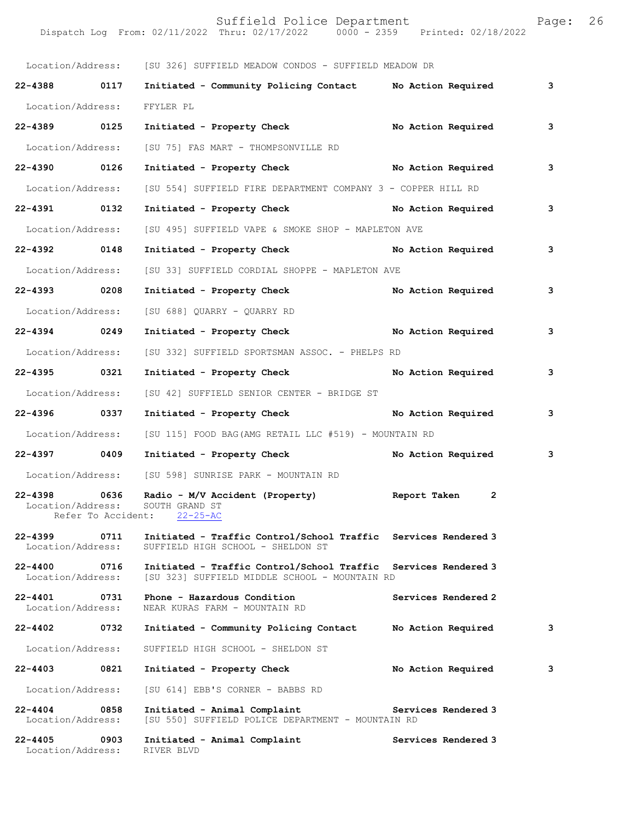|                                   |                    | Location/Address: [SU 326] SUFFIELD MEADOW CONDOS - SUFFIELD MEADOW DR                                          |                     |     |
|-----------------------------------|--------------------|-----------------------------------------------------------------------------------------------------------------|---------------------|-----|
| 22-4388 0117                      |                    | Initiated - Community Policing Contact No Action Required                                                       |                     | 3   |
| Location/Address:                 |                    | FFYLER PL                                                                                                       |                     |     |
| 22-4389 0125                      |                    | Initiated - Property Check No Action Required                                                                   |                     | 3   |
| Location/Address:                 |                    | [SU 75] FAS MART - THOMPSONVILLE RD                                                                             |                     |     |
| 22-4390 0126                      |                    | Initiated - Property Check No Action Required                                                                   |                     | 3   |
| Location/Address:                 |                    | [SU 554] SUFFIELD FIRE DEPARTMENT COMPANY 3 - COPPER HILL RD                                                    |                     |     |
| 22-4391 0132                      |                    | Initiated - Property Check No Action Required                                                                   |                     | 3   |
| Location/Address:                 |                    | [SU 495] SUFFIELD VAPE & SMOKE SHOP - MAPLETON AVE                                                              |                     |     |
| 22-4392 0148                      |                    | Initiated - Property Check No Action Required                                                                   |                     | 3   |
| Location/Address:                 |                    | [SU 33] SUFFIELD CORDIAL SHOPPE - MAPLETON AVE                                                                  |                     |     |
| 22-4393 0208                      |                    | Initiated - Property Check                                                                                      | No Action Required  | 3   |
| Location/Address:                 |                    | [SU 688] QUARRY - QUARRY RD                                                                                     |                     |     |
| 22-4394 0249                      |                    | Initiated - Property Check No Action Required                                                                   |                     | 3   |
| Location/Address:                 |                    | [SU 332] SUFFIELD SPORTSMAN ASSOC. - PHELPS RD                                                                  |                     |     |
| 22-4395 0321                      |                    | Initiated - Property Check No Action Required                                                                   |                     | 3   |
| Location/Address:                 |                    | [SU 42] SUFFIELD SENIOR CENTER - BRIDGE ST                                                                      |                     |     |
| 22-4396 0337                      |                    | Initiated - Property Check No Action Required                                                                   |                     | 3   |
| Location/Address:                 |                    | [SU 115] FOOD BAG(AMG RETAIL LLC #519) - MOUNTAIN RD                                                            |                     |     |
| 22-4397 0409                      |                    | Initiated - Property Check No Action Required                                                                   |                     | - 3 |
| Location/Address:                 |                    | [SU 598] SUNRISE PARK - MOUNTAIN RD                                                                             |                     |     |
| 22-4398 0636<br>Location/Address: | Refer To Accident: | Radio - M/V Accident (Property) by Report Taken 2<br>SOUTH GRAND ST<br>$22 - 25 - AC$                           |                     |     |
| $22 - 4399$<br>Location/Address:  | 0711               | Initiated - Traffic Control/School Traffic Services Rendered 3<br>SUFFIELD HIGH SCHOOL - SHELDON ST             |                     |     |
| 22-4400 0716<br>Location/Address: |                    | Initiated - Traffic Control/School Traffic Services Rendered 3<br>[SU 323] SUFFIELD MIDDLE SCHOOL - MOUNTAIN RD |                     |     |
| 22-4401<br>Location/Address:      | 0731               | Phone - Hazardous Condition<br>NEAR KURAS FARM - MOUNTAIN RD                                                    | Services Rendered 2 |     |
| $22 - 4402$                       | 0732               | Initiated - Community Policing Contact                                                                          | No Action Required  | 3   |
| Location/Address:                 |                    | SUFFIELD HIGH SCHOOL - SHELDON ST                                                                               |                     |     |
| 22-4403                           | 0821               | Initiated - Property Check                                                                                      | No Action Required  | 3   |
| Location/Address:                 |                    | [SU 614] EBB'S CORNER - BABBS RD                                                                                |                     |     |
| 22-4404<br>Location/Address:      | 0858               | Initiated - Animal Complaint<br>[SU 550] SUFFIELD POLICE DEPARTMENT - MOUNTAIN RD                               | Services Rendered 3 |     |
| $22 - 4405$<br>Location/Address:  | 0903               | Initiated - Animal Complaint<br>RIVER BLVD                                                                      | Services Rendered 3 |     |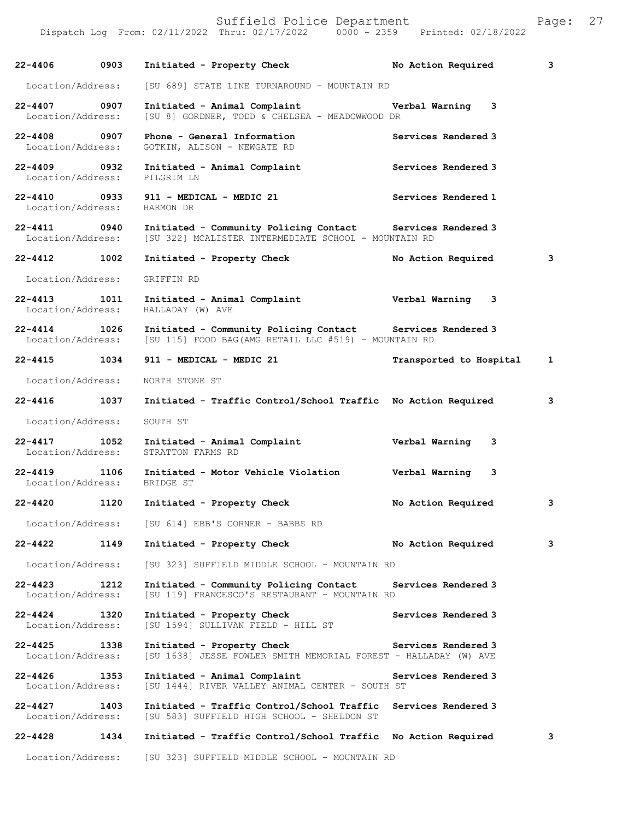| $22 - 4406$                       | 0903 | Initiated - Property Check                                                                                          | No Action Required      | 3 |
|-----------------------------------|------|---------------------------------------------------------------------------------------------------------------------|-------------------------|---|
| Location/Address:                 |      | [SU 689] STATE LINE TURNAROUND - MOUNTAIN RD                                                                        |                         |   |
| $22 - 4407$<br>Location/Address:  | 0907 | Initiated - Animal Complaint<br>[SU 8] GORDNER, TODD & CHELSEA - MEADOWWOOD DR                                      | Verbal Warning<br>3     |   |
| 22-4408 0907<br>Location/Address: |      | Phone - General Information<br>GOTKIN, ALISON - NEWGATE RD                                                          | Services Rendered 3     |   |
| 22-4409 0932<br>Location/Address: |      | Initiated - Animal Complaint<br>PILGRIM LN                                                                          | Services Rendered 3     |   |
| 22-4410 0933<br>Location/Address: |      | 911 - MEDICAL - MEDIC 21<br>HARMON DR                                                                               | Services Rendered 1     |   |
| 22-4411 0940<br>Location/Address: |      | Initiated - Community Policing Contact Services Rendered 3<br>[SU 322] MCALISTER INTERMEDIATE SCHOOL - MOUNTAIN RD  |                         |   |
| $22 - 4412$                       | 1002 | Initiated - Property Check                                                                                          | No Action Required      | 3 |
| Location/Address:                 |      | GRIFFIN RD                                                                                                          |                         |   |
| 22-4413 1011<br>Location/Address: |      | Initiated - Animal Complaint<br>HALLADAY (W) AVE                                                                    | Verbal Warning 3        |   |
| $22 - 4414$<br>Location/Address:  | 1026 | Initiated - Community Policing Contact Services Rendered 3<br>[SU 115] FOOD BAG (AMG RETAIL LLC #519) - MOUNTAIN RD |                         |   |
| 22-4415 1034                      |      | 911 - MEDICAL - MEDIC 21                                                                                            | Transported to Hospital | 1 |
| Location/Address:                 |      | NORTH STONE ST                                                                                                      |                         |   |
| $22 - 4416$                       | 1037 | Initiated - Traffic Control/School Traffic No Action Required                                                       |                         | 3 |
| Location/Address:                 |      | SOUTH ST                                                                                                            |                         |   |
| 22-4417 1052<br>Location/Address: |      | Initiated - Animal Complaint<br>STRATTON FARMS RD                                                                   | Verbal Warning<br>3     |   |
| $22 - 4419$<br>Location/Address:  | 1106 | Initiated - Motor Vehicle Violation<br>BRIDGE ST                                                                    | Verbal Warning<br>3     |   |
| 22-4420                           | 1120 | Initiated - Property Check                                                                                          | No Action Required      | 3 |
| Location/Address:                 |      | [SU 614] EBB'S CORNER - BABBS RD                                                                                    |                         |   |
| 22-4422                           | 1149 | Initiated - Property Check                                                                                          | No Action Required      | 3 |
| Location/Address:                 |      | [SU 323] SUFFIELD MIDDLE SCHOOL - MOUNTAIN RD                                                                       |                         |   |
| $22 - 4423$<br>Location/Address:  | 1212 | Initiated - Community Policing Contact<br>[SU 119] FRANCESCO'S RESTAURANT - MOUNTAIN RD                             | Services Rendered 3     |   |
| $22 - 4424$<br>Location/Address:  | 1320 | Initiated - Property Check<br>[SU 1594] SULLIVAN FIELD - HILL ST                                                    | Services Rendered 3     |   |
| 22-4425<br>Location/Address:      | 1338 | Initiated - Property Check<br>[SU 1638] JESSE FOWLER SMITH MEMORIAL FOREST - HALLADAY (W) AVE                       | Services Rendered 3     |   |
| $22 - 4426$<br>Location/Address:  | 1353 | Initiated - Animal Complaint<br>[SU 1444] RIVER VALLEY ANIMAL CENTER - SOUTH ST                                     | Services Rendered 3     |   |
| $22 - 4427$<br>Location/Address:  | 1403 | Initiated - Traffic Control/School Traffic<br>[SU 583] SUFFIELD HIGH SCHOOL - SHELDON ST                            | Services Rendered 3     |   |
| $22 - 4428$                       | 1434 | Initiated - Traffic Control/School Traffic                                                                          | No Action Required      | 3 |
| Location/Address:                 |      | [SU 323] SUFFIELD MIDDLE SCHOOL - MOUNTAIN RD                                                                       |                         |   |